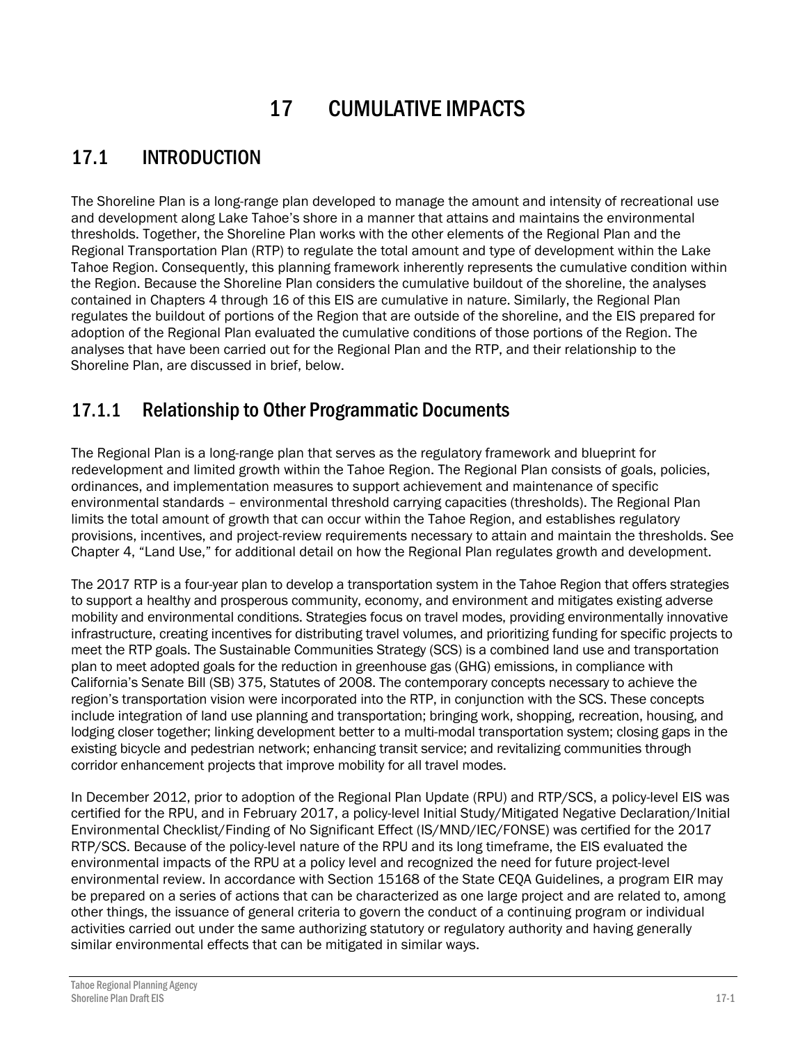# 17 CUMULATIVE IMPACTS

# 17.1 INTRODUCTION

The Shoreline Plan is a long-range plan developed to manage the amount and intensity of recreational use and development along Lake Tahoe's shore in a manner that attains and maintains the environmental thresholds. Together, the Shoreline Plan works with the other elements of the Regional Plan and the Regional Transportation Plan (RTP) to regulate the total amount and type of development within the Lake Tahoe Region. Consequently, this planning framework inherently represents the cumulative condition within the Region. Because the Shoreline Plan considers the cumulative buildout of the shoreline, the analyses contained in Chapters 4 through 16 of this EIS are cumulative in nature. Similarly, the Regional Plan regulates the buildout of portions of the Region that are outside of the shoreline, and the EIS prepared for adoption of the Regional Plan evaluated the cumulative conditions of those portions of the Region. The analyses that have been carried out for the Regional Plan and the RTP, and their relationship to the Shoreline Plan, are discussed in brief, below.

## 17.1.1 Relationship to Other Programmatic Documents

The Regional Plan is a long-range plan that serves as the regulatory framework and blueprint for redevelopment and limited growth within the Tahoe Region. The Regional Plan consists of goals, policies, ordinances, and implementation measures to support achievement and maintenance of specific environmental standards – environmental threshold carrying capacities (thresholds). The Regional Plan limits the total amount of growth that can occur within the Tahoe Region, and establishes regulatory provisions, incentives, and project-review requirements necessary to attain and maintain the thresholds. See Chapter 4, "Land Use," for additional detail on how the Regional Plan regulates growth and development.

The 2017 RTP is a four-year plan to develop a transportation system in the Tahoe Region that offers strategies to support a healthy and prosperous community, economy, and environment and mitigates existing adverse mobility and environmental conditions. Strategies focus on travel modes, providing environmentally innovative infrastructure, creating incentives for distributing travel volumes, and prioritizing funding for specific projects to meet the RTP goals. The Sustainable Communities Strategy (SCS) is a combined land use and transportation plan to meet adopted goals for the reduction in greenhouse gas (GHG) emissions, in compliance with California's Senate Bill (SB) 375, Statutes of 2008. The contemporary concepts necessary to achieve the region's transportation vision were incorporated into the RTP, in conjunction with the SCS. These concepts include integration of land use planning and transportation; bringing work, shopping, recreation, housing, and lodging closer together; linking development better to a multi-modal transportation system; closing gaps in the existing bicycle and pedestrian network; enhancing transit service; and revitalizing communities through corridor enhancement projects that improve mobility for all travel modes.

In December 2012, prior to adoption of the Regional Plan Update (RPU) and RTP/SCS, a policy-level EIS was certified for the RPU, and in February 2017, a policy-level Initial Study/Mitigated Negative Declaration/Initial Environmental Checklist/Finding of No Significant Effect (IS/MND/IEC/FONSE) was certified for the 2017 RTP/SCS. Because of the policy-level nature of the RPU and its long timeframe, the EIS evaluated the environmental impacts of the RPU at a policy level and recognized the need for future project-level environmental review. In accordance with Section 15168 of the State CEQA Guidelines, a program EIR may be prepared on a series of actions that can be characterized as one large project and are related to, among other things, the issuance of general criteria to govern the conduct of a continuing program or individual activities carried out under the same authorizing statutory or regulatory authority and having generally similar environmental effects that can be mitigated in similar ways.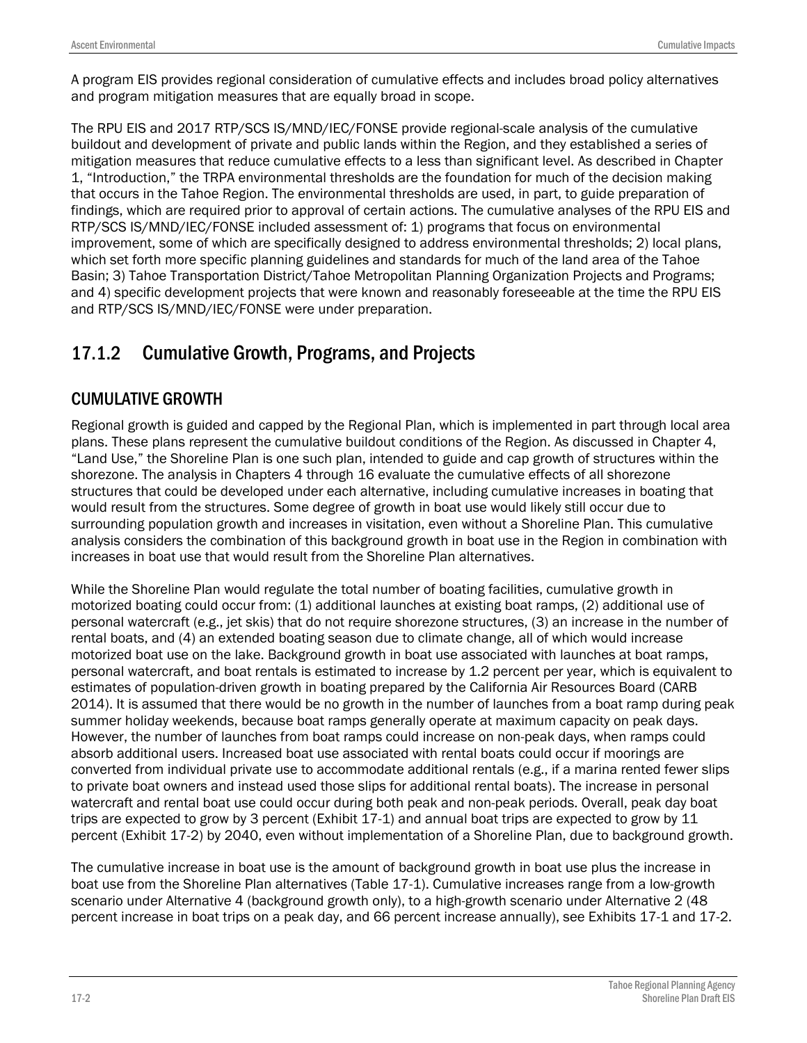A program EIS provides regional consideration of cumulative effects and includes broad policy alternatives and program mitigation measures that are equally broad in scope.

The RPU EIS and 2017 RTP/SCS IS/MND/IEC/FONSE provide regional-scale analysis of the cumulative buildout and development of private and public lands within the Region, and they established a series of mitigation measures that reduce cumulative effects to a less than significant level. As described in Chapter 1, "Introduction," the TRPA environmental thresholds are the foundation for much of the decision making that occurs in the Tahoe Region. The environmental thresholds are used, in part, to guide preparation of findings, which are required prior to approval of certain actions. The cumulative analyses of the RPU EIS and RTP/SCS IS/MND/IEC/FONSE included assessment of: 1) programs that focus on environmental improvement, some of which are specifically designed to address environmental thresholds; 2) local plans, which set forth more specific planning guidelines and standards for much of the land area of the Tahoe Basin; 3) Tahoe Transportation District/Tahoe Metropolitan Planning Organization Projects and Programs; and 4) specific development projects that were known and reasonably foreseeable at the time the RPU EIS and RTP/SCS IS/MND/IEC/FONSE were under preparation.

## 17.1.2 Cumulative Growth, Programs, and Projects

### CUMULATIVE GROWTH

Regional growth is guided and capped by the Regional Plan, which is implemented in part through local area plans. These plans represent the cumulative buildout conditions of the Region. As discussed in Chapter 4, "Land Use," the Shoreline Plan is one such plan, intended to guide and cap growth of structures within the shorezone. The analysis in Chapters 4 through 16 evaluate the cumulative effects of all shorezone structures that could be developed under each alternative, including cumulative increases in boating that would result from the structures. Some degree of growth in boat use would likely still occur due to surrounding population growth and increases in visitation, even without a Shoreline Plan. This cumulative analysis considers the combination of this background growth in boat use in the Region in combination with increases in boat use that would result from the Shoreline Plan alternatives.

While the Shoreline Plan would regulate the total number of boating facilities, cumulative growth in motorized boating could occur from: (1) additional launches at existing boat ramps, (2) additional use of personal watercraft (e.g., jet skis) that do not require shorezone structures, (3) an increase in the number of rental boats, and (4) an extended boating season due to climate change, all of which would increase motorized boat use on the lake. Background growth in boat use associated with launches at boat ramps, personal watercraft, and boat rentals is estimated to increase by 1.2 percent per year, which is equivalent to estimates of population-driven growth in boating prepared by the California Air Resources Board (CARB 2014). It is assumed that there would be no growth in the number of launches from a boat ramp during peak summer holiday weekends, because boat ramps generally operate at maximum capacity on peak days. However, the number of launches from boat ramps could increase on non-peak days, when ramps could absorb additional users. Increased boat use associated with rental boats could occur if moorings are converted from individual private use to accommodate additional rentals (e.g., if a marina rented fewer slips to private boat owners and instead used those slips for additional rental boats). The increase in personal watercraft and rental boat use could occur during both peak and non-peak periods. Overall, peak day boat trips are expected to grow by 3 percent (Exhibit 17-1) and annual boat trips are expected to grow by 11 percent (Exhibit 17-2) by 2040, even without implementation of a Shoreline Plan, due to background growth.

The cumulative increase in boat use is the amount of background growth in boat use plus the increase in boat use from the Shoreline Plan alternatives (Table 17-1). Cumulative increases range from a low-growth scenario under Alternative 4 (background growth only), to a high-growth scenario under Alternative 2 (48 percent increase in boat trips on a peak day, and 66 percent increase annually), see Exhibits 17-1 and 17-2.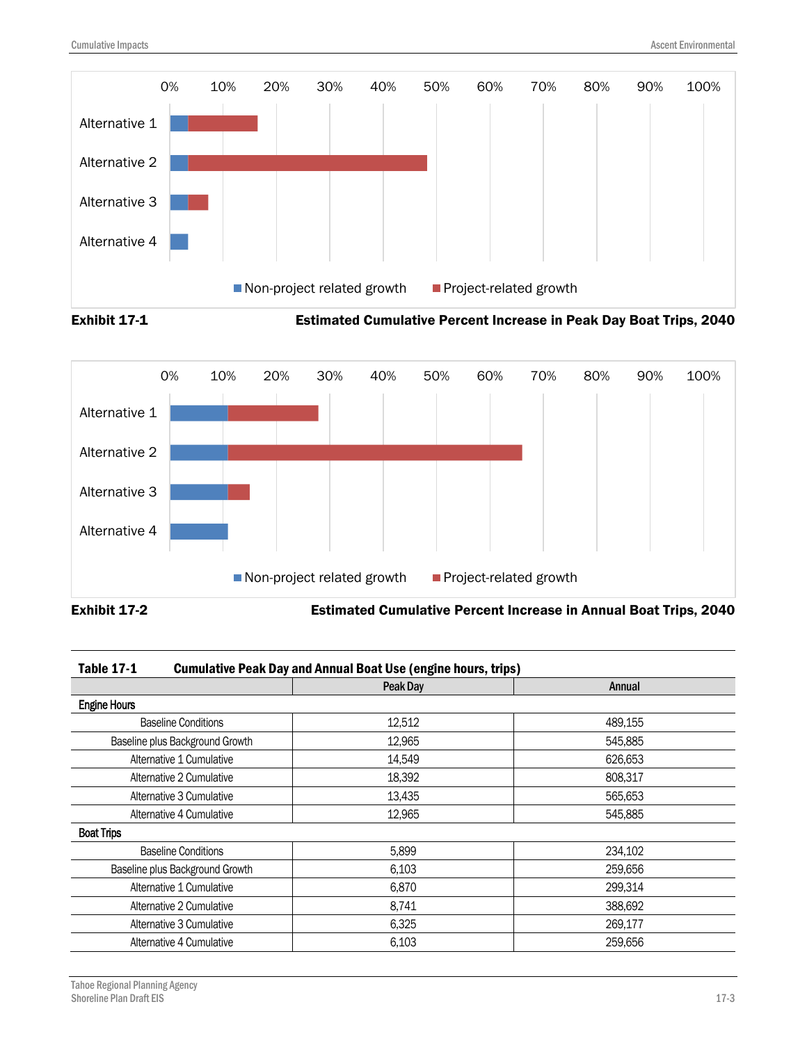





| <b>Table 17-1</b> | <b>Cumulative Peak Day and Annual Boat Use (engine hours, trips)</b> |
|-------------------|----------------------------------------------------------------------|
|-------------------|----------------------------------------------------------------------|

|                                 | Peak Day | Annual  |
|---------------------------------|----------|---------|
| <b>Engine Hours</b>             |          |         |
| <b>Baseline Conditions</b>      | 12,512   | 489,155 |
| Baseline plus Background Growth | 12,965   | 545,885 |
| Alternative 1 Cumulative        | 14,549   | 626,653 |
| Alternative 2 Cumulative        | 18,392   | 808,317 |
| Alternative 3 Cumulative        | 13,435   | 565,653 |
| Alternative 4 Cumulative        | 12,965   | 545,885 |
| <b>Boat Trips</b>               |          |         |
| <b>Baseline Conditions</b>      | 5,899    | 234,102 |
| Baseline plus Background Growth | 6,103    | 259,656 |
| Alternative 1 Cumulative        | 6,870    | 299,314 |
| Alternative 2 Cumulative        | 8,741    | 388,692 |
| Alternative 3 Cumulative        | 6,325    | 269,177 |
| Alternative 4 Cumulative        | 6,103    | 259,656 |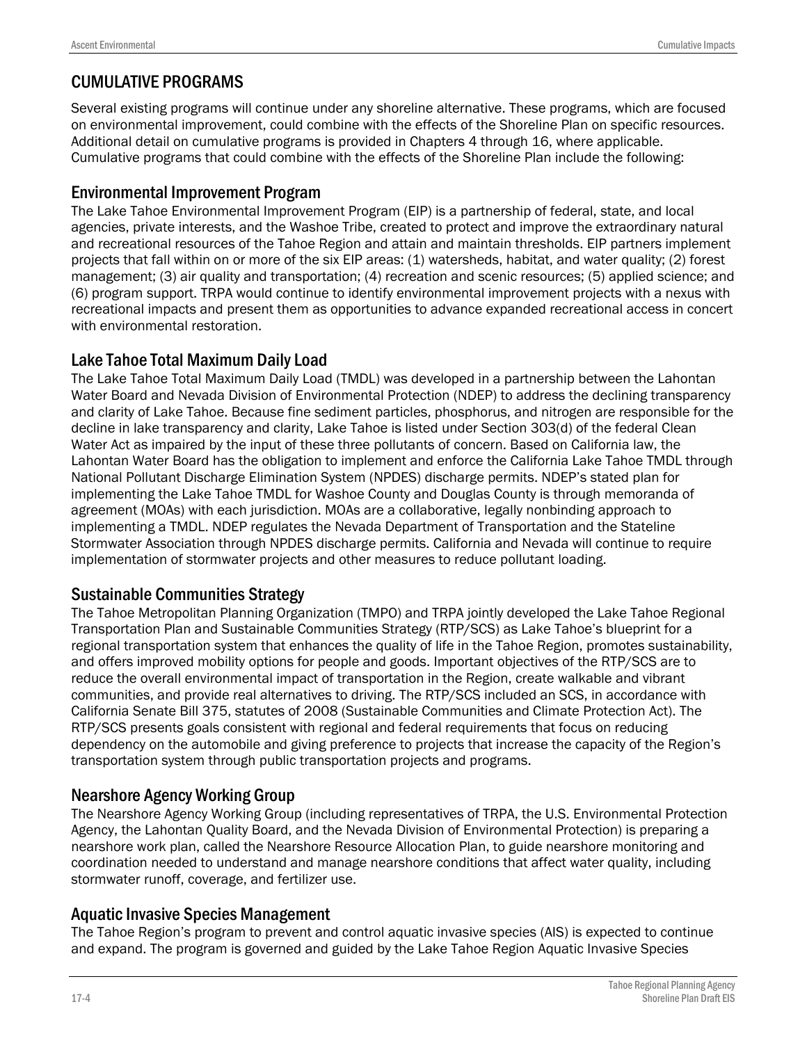### CUMULATIVE PROGRAMS

Several existing programs will continue under any shoreline alternative. These programs, which are focused on environmental improvement, could combine with the effects of the Shoreline Plan on specific resources. Additional detail on cumulative programs is provided in Chapters 4 through 16, where applicable. Cumulative programs that could combine with the effects of the Shoreline Plan include the following:

#### Environmental Improvement Program

The Lake Tahoe Environmental Improvement Program (EIP) is a partnership of federal, state, and local agencies, private interests, and the Washoe Tribe, created to protect and improve the extraordinary natural and recreational resources of the Tahoe Region and attain and maintain thresholds. EIP partners implement projects that fall within on or more of the six EIP areas: (1) watersheds, habitat, and water quality; (2) forest management; (3) air quality and transportation; (4) recreation and scenic resources; (5) applied science; and (6) program support. TRPA would continue to identify environmental improvement projects with a nexus with recreational impacts and present them as opportunities to advance expanded recreational access in concert with environmental restoration.

#### Lake Tahoe Total Maximum Daily Load

The Lake Tahoe Total Maximum Daily Load (TMDL) was developed in a partnership between the Lahontan Water Board and Nevada Division of Environmental Protection (NDEP) to address the declining transparency and clarity of Lake Tahoe. Because fine sediment particles, phosphorus, and nitrogen are responsible for the decline in lake transparency and clarity, Lake Tahoe is listed under Section 303(d) of the federal Clean Water Act as impaired by the input of these three pollutants of concern. Based on California law, the Lahontan Water Board has the obligation to implement and enforce the California Lake Tahoe TMDL through National Pollutant Discharge Elimination System (NPDES) discharge permits. NDEP's stated plan for implementing the Lake Tahoe TMDL for Washoe County and Douglas County is through memoranda of agreement (MOAs) with each jurisdiction. MOAs are a collaborative, legally nonbinding approach to implementing a TMDL. NDEP regulates the Nevada Department of Transportation and the Stateline Stormwater Association through NPDES discharge permits. California and Nevada will continue to require implementation of stormwater projects and other measures to reduce pollutant loading.

#### Sustainable Communities Strategy

The Tahoe Metropolitan Planning Organization (TMPO) and TRPA jointly developed the Lake Tahoe Regional Transportation Plan and Sustainable Communities Strategy (RTP/SCS) as Lake Tahoe's blueprint for a regional transportation system that enhances the quality of life in the Tahoe Region, promotes sustainability, and offers improved mobility options for people and goods. Important objectives of the RTP/SCS are to reduce the overall environmental impact of transportation in the Region, create walkable and vibrant communities, and provide real alternatives to driving. The RTP/SCS included an SCS, in accordance with California Senate Bill 375, statutes of 2008 (Sustainable Communities and Climate Protection Act). The RTP/SCS presents goals consistent with regional and federal requirements that focus on reducing dependency on the automobile and giving preference to projects that increase the capacity of the Region's transportation system through public transportation projects and programs.

#### Nearshore Agency Working Group

The Nearshore Agency Working Group (including representatives of TRPA, the U.S. Environmental Protection Agency, the Lahontan Quality Board, and the Nevada Division of Environmental Protection) is preparing a nearshore work plan, called the Nearshore Resource Allocation Plan, to guide nearshore monitoring and coordination needed to understand and manage nearshore conditions that affect water quality, including stormwater runoff, coverage, and fertilizer use.

#### Aquatic Invasive Species Management

The Tahoe Region's program to prevent and control aquatic invasive species (AIS) is expected to continue and expand. The program is governed and guided by the Lake Tahoe Region Aquatic Invasive Species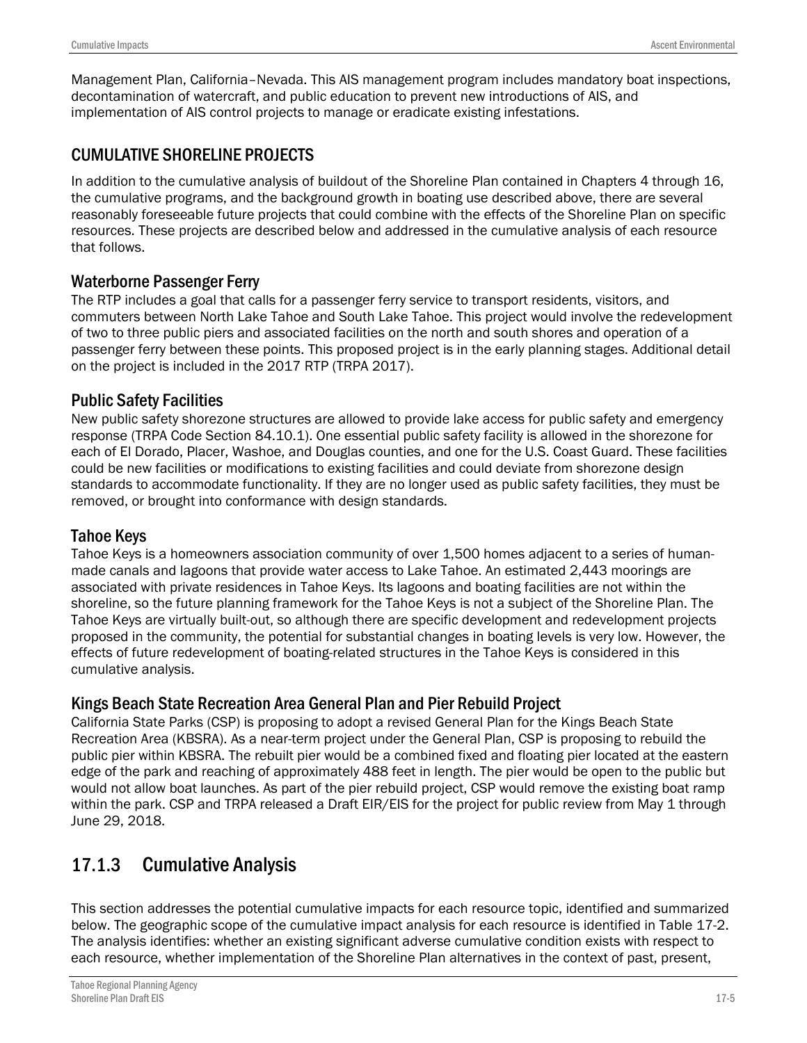Management Plan, California–Nevada. This AIS management program includes mandatory boat inspections, decontamination of watercraft, and public education to prevent new introductions of AIS, and implementation of AIS control projects to manage or eradicate existing infestations.

### CUMULATIVE SHORELINE PROJECTS

In addition to the cumulative analysis of buildout of the Shoreline Plan contained in Chapters 4 through 16, the cumulative programs, and the background growth in boating use described above, there are several reasonably foreseeable future projects that could combine with the effects of the Shoreline Plan on specific resources. These projects are described below and addressed in the cumulative analysis of each resource that follows.

#### Waterborne Passenger Ferry

The RTP includes a goal that calls for a passenger ferry service to transport residents, visitors, and commuters between North Lake Tahoe and South Lake Tahoe. This project would involve the redevelopment of two to three public piers and associated facilities on the north and south shores and operation of a passenger ferry between these points. This proposed project is in the early planning stages. Additional detail on the project is included in the 2017 RTP (TRPA 2017).

### Public Safety Facilities

New public safety shorezone structures are allowed to provide lake access for public safety and emergency response (TRPA Code Section 84.10.1). One essential public safety facility is allowed in the shorezone for each of El Dorado, Placer, Washoe, and Douglas counties, and one for the U.S. Coast Guard. These facilities could be new facilities or modifications to existing facilities and could deviate from shorezone design standards to accommodate functionality. If they are no longer used as public safety facilities, they must be removed, or brought into conformance with design standards.

#### Tahoe Keys

Tahoe Keys is a homeowners association community of over 1,500 homes adjacent to a series of humanmade canals and lagoons that provide water access to Lake Tahoe. An estimated 2,443 moorings are associated with private residences in Tahoe Keys. Its lagoons and boating facilities are not within the shoreline, so the future planning framework for the Tahoe Keys is not a subject of the Shoreline Plan. The Tahoe Keys are virtually built-out, so although there are specific development and redevelopment projects proposed in the community, the potential for substantial changes in boating levels is very low. However, the effects of future redevelopment of boating-related structures in the Tahoe Keys is considered in this cumulative analysis.

#### Kings Beach State Recreation Area General Plan and Pier Rebuild Project

California State Parks (CSP) is proposing to adopt a revised General Plan for the Kings Beach State Recreation Area (KBSRA). As a near-term project under the General Plan, CSP is proposing to rebuild the public pier within KBSRA. The rebuilt pier would be a combined fixed and floating pier located at the eastern edge of the park and reaching of approximately 488 feet in length. The pier would be open to the public but would not allow boat launches. As part of the pier rebuild project, CSP would remove the existing boat ramp within the park. CSP and TRPA released a Draft EIR/EIS for the project for public review from May 1 through June 29, 2018.

## 17.1.3 Cumulative Analysis

This section addresses the potential cumulative impacts for each resource topic, identified and summarized below. The geographic scope of the cumulative impact analysis for each resource is identified in Table 17-2. The analysis identifies: whether an existing significant adverse cumulative condition exists with respect to each resource, whether implementation of the Shoreline Plan alternatives in the context of past, present,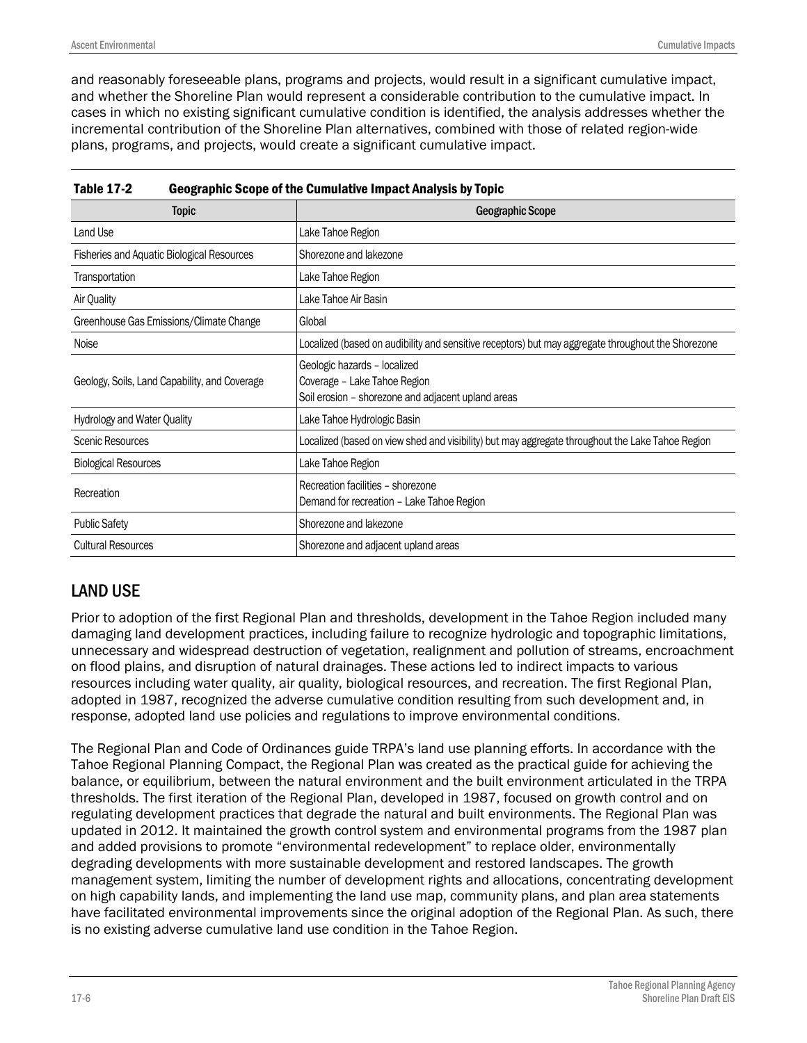and reasonably foreseeable plans, programs and projects, would result in a significant cumulative impact, and whether the Shoreline Plan would represent a considerable contribution to the cumulative impact. In cases in which no existing significant cumulative condition is identified, the analysis addresses whether the incremental contribution of the Shoreline Plan alternatives, combined with those of related region-wide plans, programs, and projects, would create a significant cumulative impact.

| <b>Topic</b>                                  | <b>Geographic Scope</b>                                                                                            |
|-----------------------------------------------|--------------------------------------------------------------------------------------------------------------------|
| Land Use                                      | Lake Tahoe Region                                                                                                  |
| Fisheries and Aquatic Biological Resources    | Shorezone and lakezone                                                                                             |
| Transportation                                | Lake Tahoe Region                                                                                                  |
| Air Quality                                   | Lake Tahoe Air Basin                                                                                               |
| Greenhouse Gas Emissions/Climate Change       | Global                                                                                                             |
| Noise                                         | Localized (based on audibility and sensitive receptors) but may aggregate throughout the Shorezone                 |
| Geology, Soils, Land Capability, and Coverage | Geologic hazards - localized<br>Coverage - Lake Tahoe Region<br>Soil erosion – shorezone and adjacent upland areas |
| <b>Hydrology and Water Quality</b>            | Lake Tahoe Hydrologic Basin                                                                                        |
| <b>Scenic Resources</b>                       | Localized (based on view shed and visibility) but may aggregate throughout the Lake Tahoe Region                   |
| <b>Biological Resources</b>                   | Lake Tahoe Region                                                                                                  |
| Recreation                                    | Recreation facilities - shorezone<br>Demand for recreation - Lake Tahoe Region                                     |
| <b>Public Safety</b>                          | Shorezone and lakezone                                                                                             |
| <b>Cultural Resources</b>                     | Shorezone and adjacent upland areas                                                                                |

### LAND USE

Prior to adoption of the first Regional Plan and thresholds, development in the Tahoe Region included many damaging land development practices, including failure to recognize hydrologic and topographic limitations, unnecessary and widespread destruction of vegetation, realignment and pollution of streams, encroachment on flood plains, and disruption of natural drainages. These actions led to indirect impacts to various resources including water quality, air quality, biological resources, and recreation. The first Regional Plan, adopted in 1987, recognized the adverse cumulative condition resulting from such development and, in response, adopted land use policies and regulations to improve environmental conditions.

The Regional Plan and Code of Ordinances guide TRPA's land use planning efforts. In accordance with the Tahoe Regional Planning Compact, the Regional Plan was created as the practical guide for achieving the balance, or equilibrium, between the natural environment and the built environment articulated in the TRPA thresholds. The first iteration of the Regional Plan, developed in 1987, focused on growth control and on regulating development practices that degrade the natural and built environments. The Regional Plan was updated in 2012. It maintained the growth control system and environmental programs from the 1987 plan and added provisions to promote "environmental redevelopment" to replace older, environmentally degrading developments with more sustainable development and restored landscapes. The growth management system, limiting the number of development rights and allocations, concentrating development on high capability lands, and implementing the land use map, community plans, and plan area statements have facilitated environmental improvements since the original adoption of the Regional Plan. As such, there is no existing adverse cumulative land use condition in the Tahoe Region.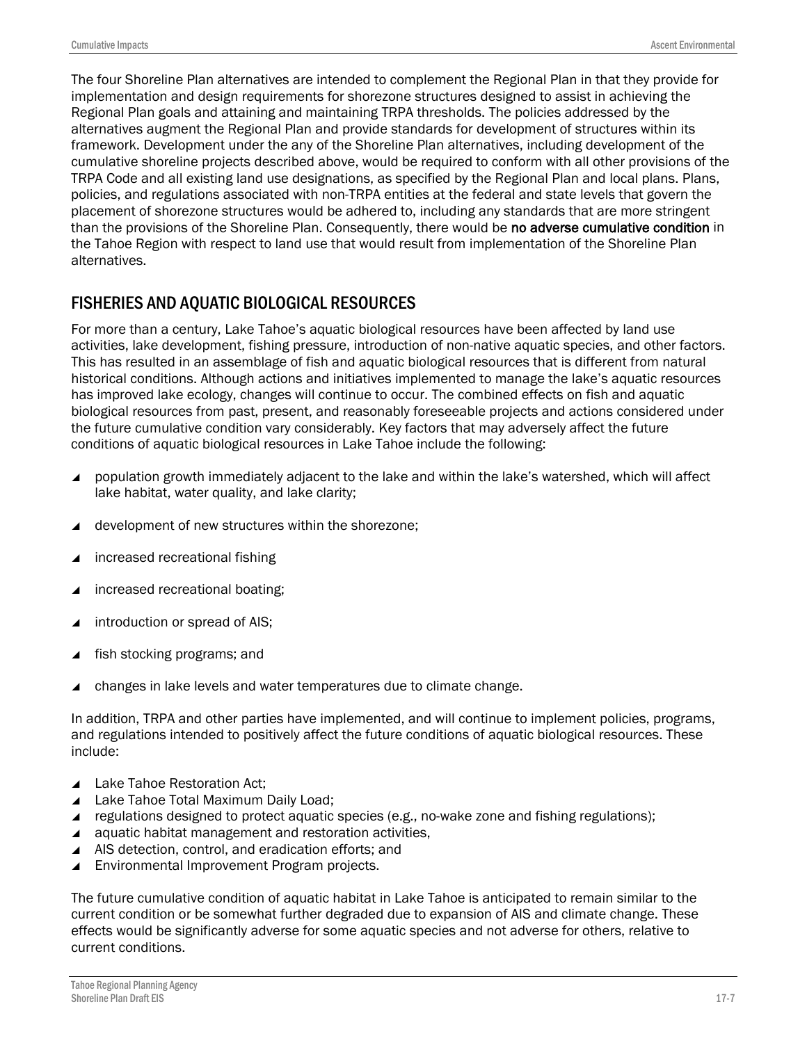The four Shoreline Plan alternatives are intended to complement the Regional Plan in that they provide for implementation and design requirements for shorezone structures designed to assist in achieving the Regional Plan goals and attaining and maintaining TRPA thresholds. The policies addressed by the alternatives augment the Regional Plan and provide standards for development of structures within its framework. Development under the any of the Shoreline Plan alternatives, including development of the cumulative shoreline projects described above, would be required to conform with all other provisions of the TRPA Code and all existing land use designations, as specified by the Regional Plan and local plans. Plans, policies, and regulations associated with non-TRPA entities at the federal and state levels that govern the placement of shorezone structures would be adhered to, including any standards that are more stringent than the provisions of the Shoreline Plan. Consequently, there would be no adverse cumulative condition in the Tahoe Region with respect to land use that would result from implementation of the Shoreline Plan alternatives.

### FISHERIES AND AQUATIC BIOLOGICAL RESOURCES

For more than a century, Lake Tahoe's aquatic biological resources have been affected by land use activities, lake development, fishing pressure, introduction of non-native aquatic species, and other factors. This has resulted in an assemblage of fish and aquatic biological resources that is different from natural historical conditions. Although actions and initiatives implemented to manage the lake's aquatic resources has improved lake ecology, changes will continue to occur. The combined effects on fish and aquatic biological resources from past, present, and reasonably foreseeable projects and actions considered under the future cumulative condition vary considerably. Key factors that may adversely affect the future conditions of aquatic biological resources in Lake Tahoe include the following:

- **population growth immediately adjacent to the lake and within the lake's watershed, which will affect** lake habitat, water quality, and lake clarity;
- ▲ development of new structures within the shorezone;
- increased recreational fishing
- increased recreational boating;
- introduction or spread of AIS;
- fish stocking programs; and
- changes in lake levels and water temperatures due to climate change.

In addition, TRPA and other parties have implemented, and will continue to implement policies, programs, and regulations intended to positively affect the future conditions of aquatic biological resources. These include:

- ▲ Lake Tahoe Restoration Act;
- ▲ Lake Tahoe Total Maximum Daily Load;
- regulations designed to protect aquatic species (e.g., no-wake zone and fishing regulations);
- $\triangle$  aquatic habitat management and restoration activities,
- ▲ AIS detection, control, and eradication efforts; and
- ▲ Environmental Improvement Program projects.

The future cumulative condition of aquatic habitat in Lake Tahoe is anticipated to remain similar to the current condition or be somewhat further degraded due to expansion of AIS and climate change. These effects would be significantly adverse for some aquatic species and not adverse for others, relative to current conditions.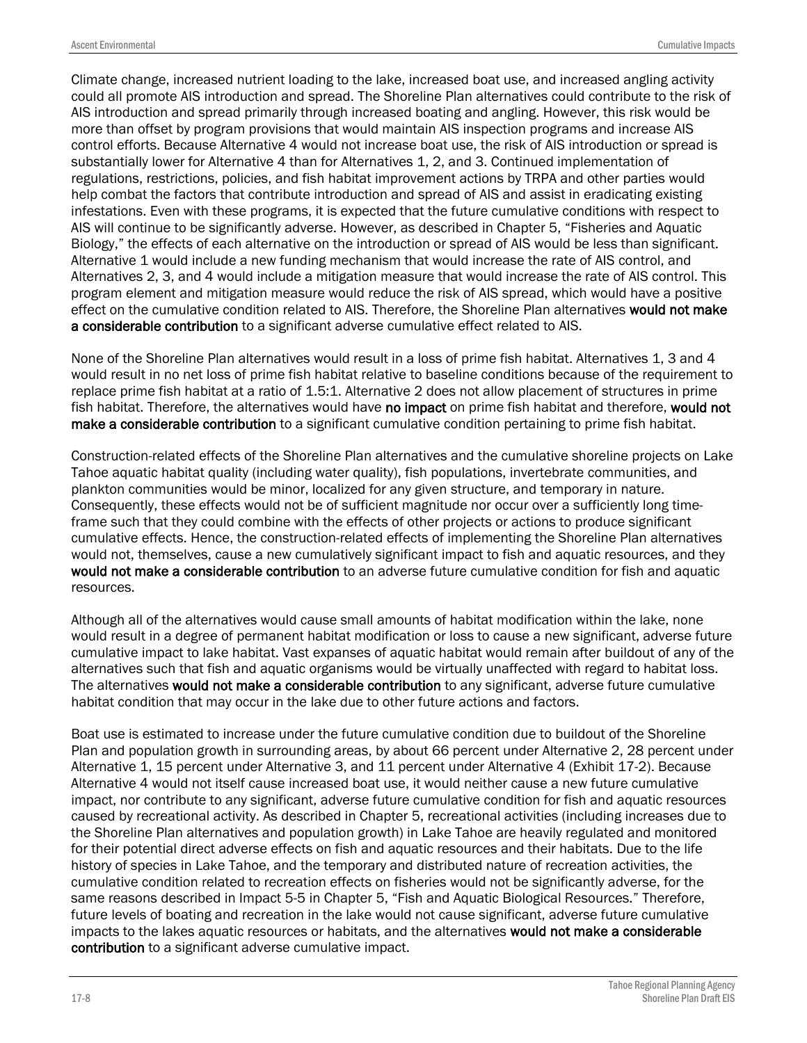Climate change, increased nutrient loading to the lake, increased boat use, and increased angling activity could all promote AIS introduction and spread. The Shoreline Plan alternatives could contribute to the risk of AIS introduction and spread primarily through increased boating and angling. However, this risk would be more than offset by program provisions that would maintain AIS inspection programs and increase AIS control efforts. Because Alternative 4 would not increase boat use, the risk of AIS introduction or spread is substantially lower for Alternative 4 than for Alternatives 1, 2, and 3. Continued implementation of regulations, restrictions, policies, and fish habitat improvement actions by TRPA and other parties would help combat the factors that contribute introduction and spread of AIS and assist in eradicating existing infestations. Even with these programs, it is expected that the future cumulative conditions with respect to AIS will continue to be significantly adverse. However, as described in Chapter 5, "Fisheries and Aquatic Biology," the effects of each alternative on the introduction or spread of AIS would be less than significant. Alternative 1 would include a new funding mechanism that would increase the rate of AIS control, and Alternatives 2, 3, and 4 would include a mitigation measure that would increase the rate of AIS control. This program element and mitigation measure would reduce the risk of AIS spread, which would have a positive effect on the cumulative condition related to AIS. Therefore, the Shoreline Plan alternatives would not make a considerable contribution to a significant adverse cumulative effect related to AIS.

None of the Shoreline Plan alternatives would result in a loss of prime fish habitat. Alternatives 1, 3 and 4 would result in no net loss of prime fish habitat relative to baseline conditions because of the requirement to replace prime fish habitat at a ratio of 1.5:1. Alternative 2 does not allow placement of structures in prime fish habitat. Therefore, the alternatives would have no impact on prime fish habitat and therefore, would not make a considerable contribution to a significant cumulative condition pertaining to prime fish habitat.

Construction-related effects of the Shoreline Plan alternatives and the cumulative shoreline projects on Lake Tahoe aquatic habitat quality (including water quality), fish populations, invertebrate communities, and plankton communities would be minor, localized for any given structure, and temporary in nature. Consequently, these effects would not be of sufficient magnitude nor occur over a sufficiently long timeframe such that they could combine with the effects of other projects or actions to produce significant cumulative effects. Hence, the construction-related effects of implementing the Shoreline Plan alternatives would not, themselves, cause a new cumulatively significant impact to fish and aquatic resources, and they would not make a considerable contribution to an adverse future cumulative condition for fish and aquatic resources.

Although all of the alternatives would cause small amounts of habitat modification within the lake, none would result in a degree of permanent habitat modification or loss to cause a new significant, adverse future cumulative impact to lake habitat. Vast expanses of aquatic habitat would remain after buildout of any of the alternatives such that fish and aquatic organisms would be virtually unaffected with regard to habitat loss. The alternatives would not make a considerable contribution to any significant, adverse future cumulative habitat condition that may occur in the lake due to other future actions and factors.

Boat use is estimated to increase under the future cumulative condition due to buildout of the Shoreline Plan and population growth in surrounding areas, by about 66 percent under Alternative 2, 28 percent under Alternative 1, 15 percent under Alternative 3, and 11 percent under Alternative 4 (Exhibit 17-2). Because Alternative 4 would not itself cause increased boat use, it would neither cause a new future cumulative impact, nor contribute to any significant, adverse future cumulative condition for fish and aquatic resources caused by recreational activity. As described in Chapter 5, recreational activities (including increases due to the Shoreline Plan alternatives and population growth) in Lake Tahoe are heavily regulated and monitored for their potential direct adverse effects on fish and aquatic resources and their habitats. Due to the life history of species in Lake Tahoe, and the temporary and distributed nature of recreation activities, the cumulative condition related to recreation effects on fisheries would not be significantly adverse, for the same reasons described in Impact 5-5 in Chapter 5, "Fish and Aquatic Biological Resources." Therefore, future levels of boating and recreation in the lake would not cause significant, adverse future cumulative impacts to the lakes aquatic resources or habitats, and the alternatives would not make a considerable contribution to a significant adverse cumulative impact.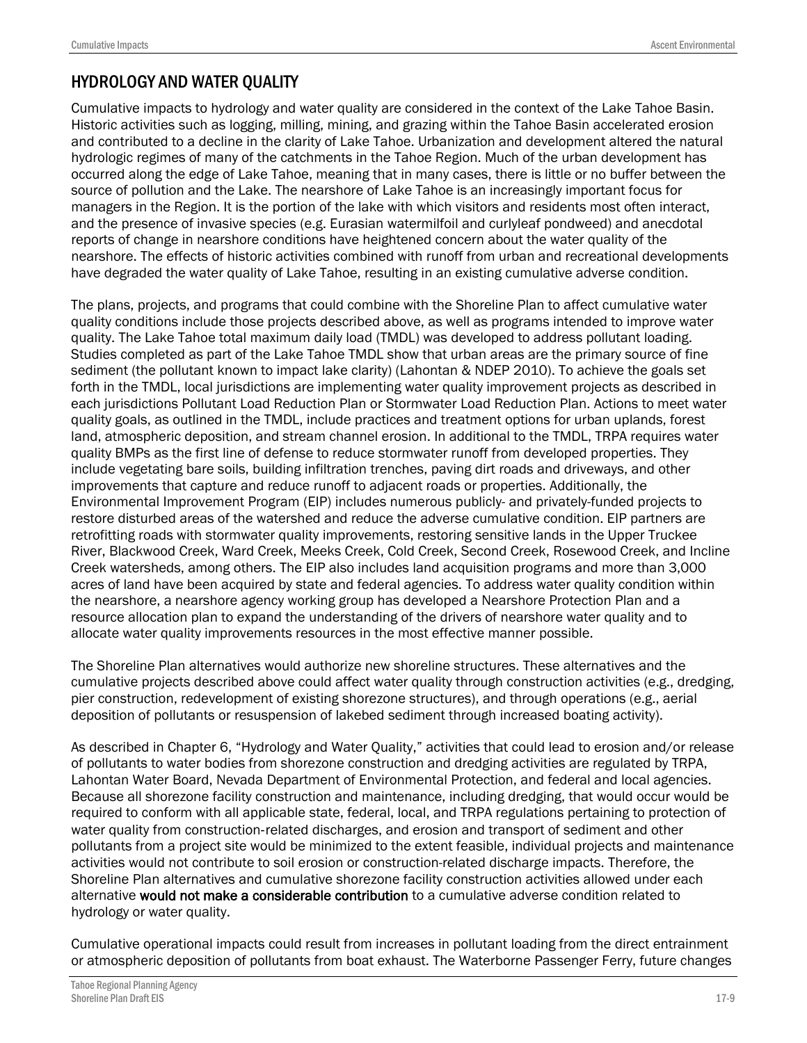### HYDROLOGY AND WATER QUALITY

Cumulative impacts to hydrology and water quality are considered in the context of the Lake Tahoe Basin. Historic activities such as logging, milling, mining, and grazing within the Tahoe Basin accelerated erosion and contributed to a decline in the clarity of Lake Tahoe. Urbanization and development altered the natural hydrologic regimes of many of the catchments in the Tahoe Region. Much of the urban development has occurred along the edge of Lake Tahoe, meaning that in many cases, there is little or no buffer between the source of pollution and the Lake. The nearshore of Lake Tahoe is an increasingly important focus for managers in the Region. It is the portion of the lake with which visitors and residents most often interact, and the presence of invasive species (e.g. Eurasian watermilfoil and curlyleaf pondweed) and anecdotal reports of change in nearshore conditions have heightened concern about the water quality of the nearshore. The effects of historic activities combined with runoff from urban and recreational developments have degraded the water quality of Lake Tahoe, resulting in an existing cumulative adverse condition.

The plans, projects, and programs that could combine with the Shoreline Plan to affect cumulative water quality conditions include those projects described above, as well as programs intended to improve water quality. The Lake Tahoe total maximum daily load (TMDL) was developed to address pollutant loading. Studies completed as part of the Lake Tahoe TMDL show that urban areas are the primary source of fine sediment (the pollutant known to impact lake clarity) (Lahontan & NDEP 2010). To achieve the goals set forth in the TMDL, local jurisdictions are implementing water quality improvement projects as described in each jurisdictions Pollutant Load Reduction Plan or Stormwater Load Reduction Plan. Actions to meet water quality goals, as outlined in the TMDL, include practices and treatment options for urban uplands, forest land, atmospheric deposition, and stream channel erosion. In additional to the TMDL, TRPA requires water quality BMPs as the first line of defense to reduce stormwater runoff from developed properties. They include vegetating bare soils, building infiltration trenches, paving dirt roads and driveways, and other improvements that capture and reduce runoff to adjacent roads or properties. Additionally, the Environmental Improvement Program (EIP) includes numerous publicly- and privately-funded projects to restore disturbed areas of the watershed and reduce the adverse cumulative condition. EIP partners are retrofitting roads with stormwater quality improvements, restoring sensitive lands in the Upper Truckee River, Blackwood Creek, Ward Creek, Meeks Creek, Cold Creek, Second Creek, Rosewood Creek, and Incline Creek watersheds, among others. The EIP also includes land acquisition programs and more than 3,000 acres of land have been acquired by state and federal agencies. To address water quality condition within the nearshore, a nearshore agency working group has developed a Nearshore Protection Plan and a resource allocation plan to expand the understanding of the drivers of nearshore water quality and to allocate water quality improvements resources in the most effective manner possible.

The Shoreline Plan alternatives would authorize new shoreline structures. These alternatives and the cumulative projects described above could affect water quality through construction activities (e.g., dredging, pier construction, redevelopment of existing shorezone structures), and through operations (e.g., aerial deposition of pollutants or resuspension of lakebed sediment through increased boating activity).

As described in Chapter 6, "Hydrology and Water Quality," activities that could lead to erosion and/or release of pollutants to water bodies from shorezone construction and dredging activities are regulated by TRPA, Lahontan Water Board, Nevada Department of Environmental Protection, and federal and local agencies. Because all shorezone facility construction and maintenance, including dredging, that would occur would be required to conform with all applicable state, federal, local, and TRPA regulations pertaining to protection of water quality from construction-related discharges, and erosion and transport of sediment and other pollutants from a project site would be minimized to the extent feasible, individual projects and maintenance activities would not contribute to soil erosion or construction-related discharge impacts. Therefore, the Shoreline Plan alternatives and cumulative shorezone facility construction activities allowed under each alternative would not make a considerable contribution to a cumulative adverse condition related to hydrology or water quality.

Cumulative operational impacts could result from increases in pollutant loading from the direct entrainment or atmospheric deposition of pollutants from boat exhaust. The Waterborne Passenger Ferry, future changes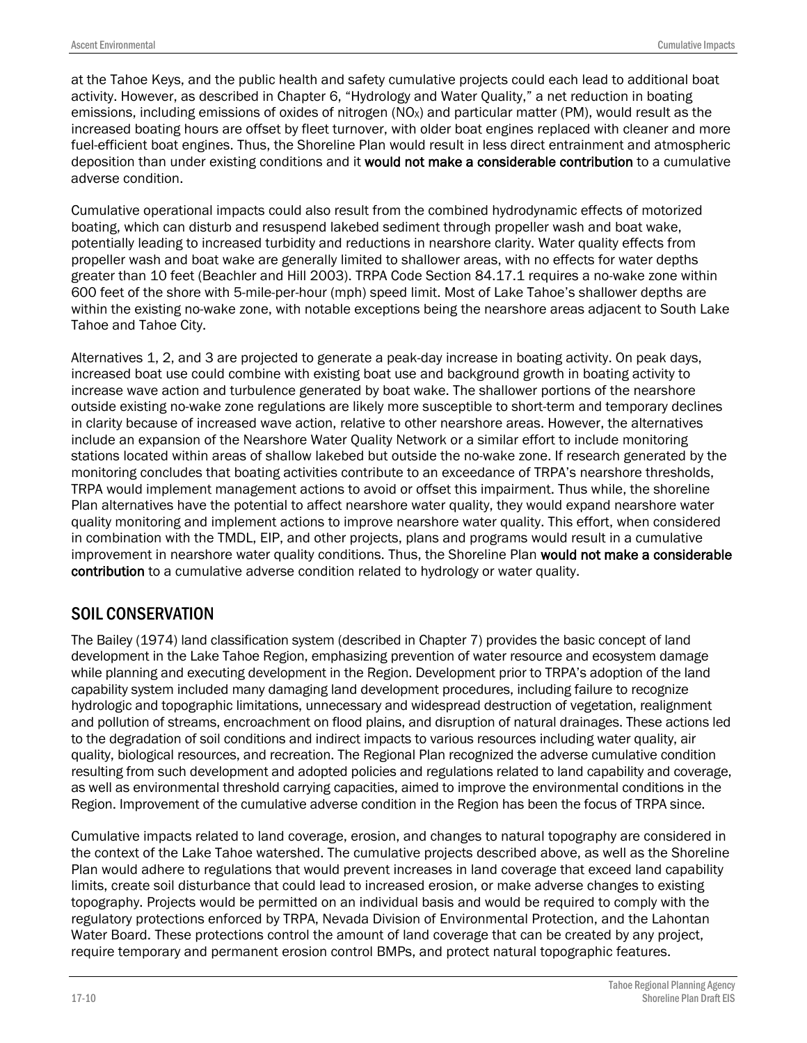at the Tahoe Keys, and the public health and safety cumulative projects could each lead to additional boat activity. However, as described in Chapter 6, "Hydrology and Water Quality," a net reduction in boating emissions, including emissions of oxides of nitrogen  $(NO<sub>x</sub>)$  and particular matter  $(PM)$ , would result as the increased boating hours are offset by fleet turnover, with older boat engines replaced with cleaner and more fuel-efficient boat engines. Thus, the Shoreline Plan would result in less direct entrainment and atmospheric deposition than under existing conditions and it would not make a considerable contribution to a cumulative adverse condition.

Cumulative operational impacts could also result from the combined hydrodynamic effects of motorized boating, which can disturb and resuspend lakebed sediment through propeller wash and boat wake, potentially leading to increased turbidity and reductions in nearshore clarity. Water quality effects from propeller wash and boat wake are generally limited to shallower areas, with no effects for water depths greater than 10 feet (Beachler and Hill 2003). TRPA Code Section 84.17.1 requires a no-wake zone within 600 feet of the shore with 5-mile-per-hour (mph) speed limit. Most of Lake Tahoe's shallower depths are within the existing no-wake zone, with notable exceptions being the nearshore areas adjacent to South Lake Tahoe and Tahoe City.

Alternatives 1, 2, and 3 are projected to generate a peak-day increase in boating activity. On peak days, increased boat use could combine with existing boat use and background growth in boating activity to increase wave action and turbulence generated by boat wake. The shallower portions of the nearshore outside existing no-wake zone regulations are likely more susceptible to short-term and temporary declines in clarity because of increased wave action, relative to other nearshore areas. However, the alternatives include an expansion of the Nearshore Water Quality Network or a similar effort to include monitoring stations located within areas of shallow lakebed but outside the no-wake zone. If research generated by the monitoring concludes that boating activities contribute to an exceedance of TRPA's nearshore thresholds, TRPA would implement management actions to avoid or offset this impairment. Thus while, the shoreline Plan alternatives have the potential to affect nearshore water quality, they would expand nearshore water quality monitoring and implement actions to improve nearshore water quality. This effort, when considered in combination with the TMDL, EIP, and other projects, plans and programs would result in a cumulative improvement in nearshore water quality conditions. Thus, the Shoreline Plan would not make a considerable contribution to a cumulative adverse condition related to hydrology or water quality.

### SOIL CONSERVATION

The Bailey (1974) land classification system (described in Chapter 7) provides the basic concept of land development in the Lake Tahoe Region, emphasizing prevention of water resource and ecosystem damage while planning and executing development in the Region. Development prior to TRPA's adoption of the land capability system included many damaging land development procedures, including failure to recognize hydrologic and topographic limitations, unnecessary and widespread destruction of vegetation, realignment and pollution of streams, encroachment on flood plains, and disruption of natural drainages. These actions led to the degradation of soil conditions and indirect impacts to various resources including water quality, air quality, biological resources, and recreation. The Regional Plan recognized the adverse cumulative condition resulting from such development and adopted policies and regulations related to land capability and coverage, as well as environmental threshold carrying capacities, aimed to improve the environmental conditions in the Region. Improvement of the cumulative adverse condition in the Region has been the focus of TRPA since.

Cumulative impacts related to land coverage, erosion, and changes to natural topography are considered in the context of the Lake Tahoe watershed. The cumulative projects described above, as well as the Shoreline Plan would adhere to regulations that would prevent increases in land coverage that exceed land capability limits, create soil disturbance that could lead to increased erosion, or make adverse changes to existing topography. Projects would be permitted on an individual basis and would be required to comply with the regulatory protections enforced by TRPA, Nevada Division of Environmental Protection, and the Lahontan Water Board. These protections control the amount of land coverage that can be created by any project, require temporary and permanent erosion control BMPs, and protect natural topographic features.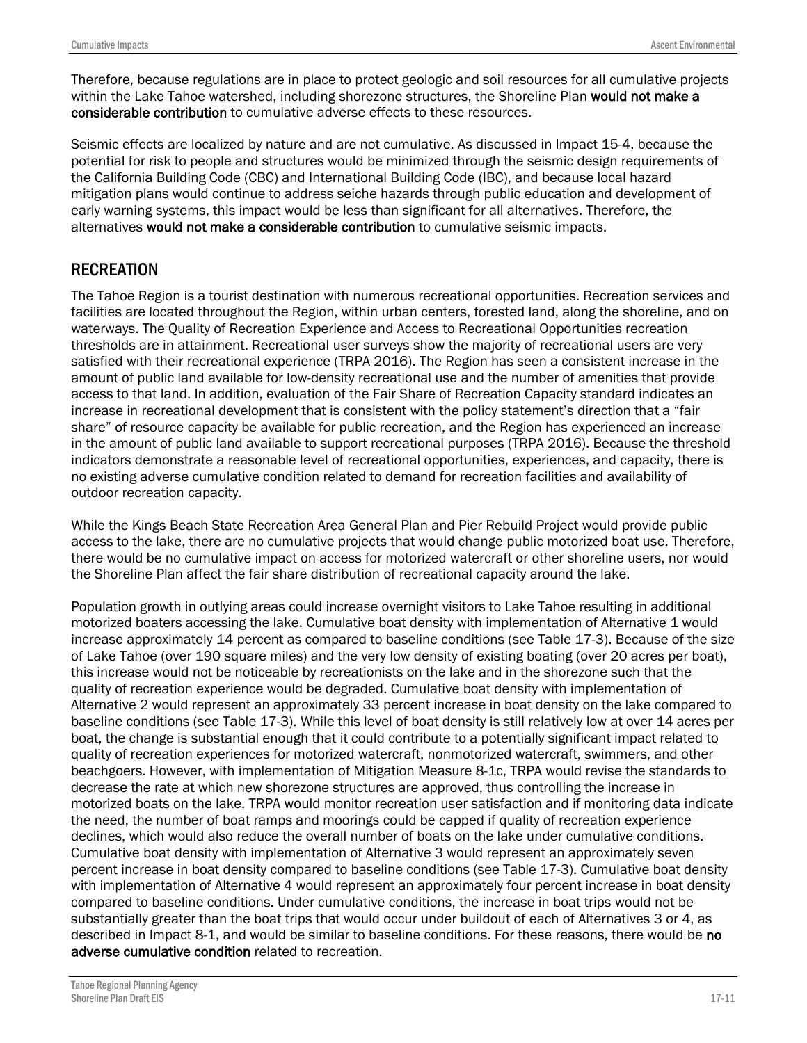Therefore, because regulations are in place to protect geologic and soil resources for all cumulative projects within the Lake Tahoe watershed, including shorezone structures, the Shoreline Plan would not make a considerable contribution to cumulative adverse effects to these resources.

Seismic effects are localized by nature and are not cumulative. As discussed in Impact 15-4, because the potential for risk to people and structures would be minimized through the seismic design requirements of the California Building Code (CBC) and International Building Code (IBC), and because local hazard mitigation plans would continue to address seiche hazards through public education and development of early warning systems, this impact would be less than significant for all alternatives. Therefore, the alternatives would not make a considerable contribution to cumulative seismic impacts.

### **RECREATION**

The Tahoe Region is a tourist destination with numerous recreational opportunities. Recreation services and facilities are located throughout the Region, within urban centers, forested land, along the shoreline, and on waterways. The Quality of Recreation Experience and Access to Recreational Opportunities recreation thresholds are in attainment. Recreational user surveys show the majority of recreational users are very satisfied with their recreational experience (TRPA 2016). The Region has seen a consistent increase in the amount of public land available for low-density recreational use and the number of amenities that provide access to that land. In addition, evaluation of the Fair Share of Recreation Capacity standard indicates an increase in recreational development that is consistent with the policy statement's direction that a "fair share" of resource capacity be available for public recreation, and the Region has experienced an increase in the amount of public land available to support recreational purposes (TRPA 2016). Because the threshold indicators demonstrate a reasonable level of recreational opportunities, experiences, and capacity, there is no existing adverse cumulative condition related to demand for recreation facilities and availability of outdoor recreation capacity.

While the Kings Beach State Recreation Area General Plan and Pier Rebuild Project would provide public access to the lake, there are no cumulative projects that would change public motorized boat use. Therefore, there would be no cumulative impact on access for motorized watercraft or other shoreline users, nor would the Shoreline Plan affect the fair share distribution of recreational capacity around the lake.

Population growth in outlying areas could increase overnight visitors to Lake Tahoe resulting in additional motorized boaters accessing the lake. Cumulative boat density with implementation of Alternative 1 would increase approximately 14 percent as compared to baseline conditions (see Table 17-3). Because of the size of Lake Tahoe (over 190 square miles) and the very low density of existing boating (over 20 acres per boat), this increase would not be noticeable by recreationists on the lake and in the shorezone such that the quality of recreation experience would be degraded. Cumulative boat density with implementation of Alternative 2 would represent an approximately 33 percent increase in boat density on the lake compared to baseline conditions (see Table 17-3). While this level of boat density is still relatively low at over 14 acres per boat, the change is substantial enough that it could contribute to a potentially significant impact related to quality of recreation experiences for motorized watercraft, nonmotorized watercraft, swimmers, and other beachgoers. However, with implementation of Mitigation Measure 8-1c, TRPA would revise the standards to decrease the rate at which new shorezone structures are approved, thus controlling the increase in motorized boats on the lake. TRPA would monitor recreation user satisfaction and if monitoring data indicate the need, the number of boat ramps and moorings could be capped if quality of recreation experience declines, which would also reduce the overall number of boats on the lake under cumulative conditions. Cumulative boat density with implementation of Alternative 3 would represent an approximately seven percent increase in boat density compared to baseline conditions (see Table 17-3). Cumulative boat density with implementation of Alternative 4 would represent an approximately four percent increase in boat density compared to baseline conditions. Under cumulative conditions, the increase in boat trips would not be substantially greater than the boat trips that would occur under buildout of each of Alternatives 3 or 4, as described in Impact 8-1, and would be similar to baseline conditions. For these reasons, there would be no adverse cumulative condition related to recreation.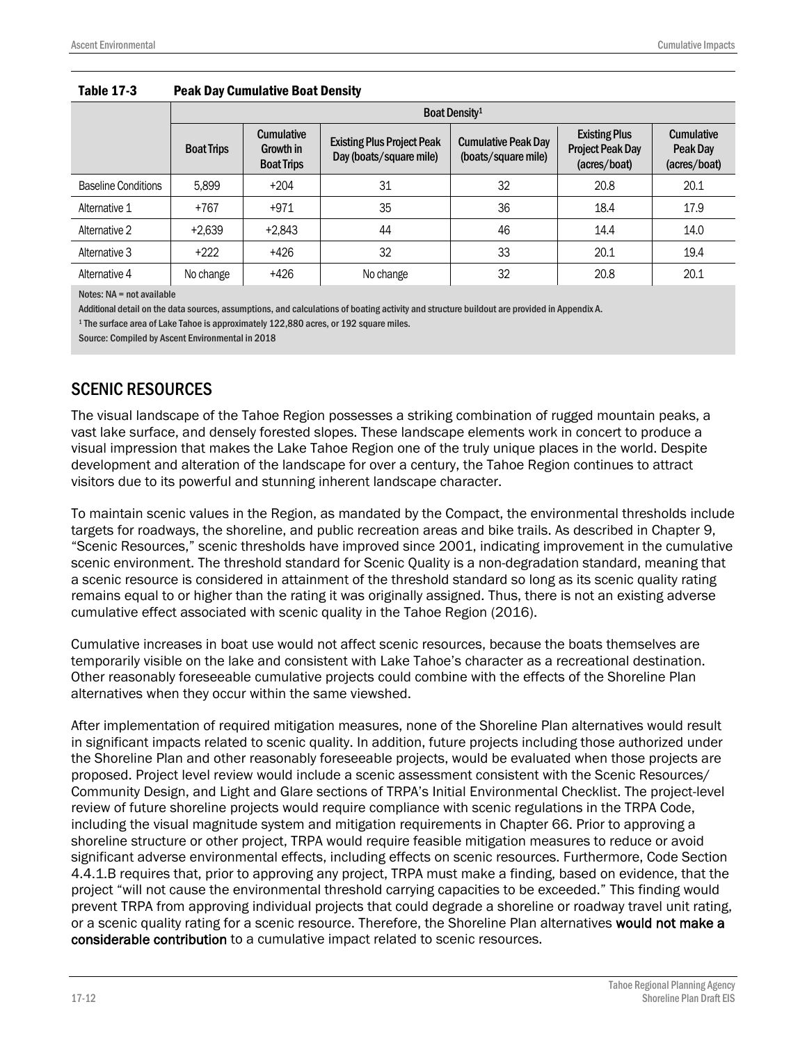|                            |                   | Boat Density <sup>1</sup>                           |                                                              |                                                   |                                                                 |                                               |  |  |
|----------------------------|-------------------|-----------------------------------------------------|--------------------------------------------------------------|---------------------------------------------------|-----------------------------------------------------------------|-----------------------------------------------|--|--|
|                            | <b>Boat Trips</b> | <b>Cumulative</b><br>Growth in<br><b>Boat Trips</b> | <b>Existing Plus Project Peak</b><br>Day (boats/square mile) | <b>Cumulative Peak Day</b><br>(boats/square mile) | <b>Existing Plus</b><br><b>Project Peak Day</b><br>(acres/boat) | <b>Cumulative</b><br>Peak Day<br>(acres/boat) |  |  |
| <b>Baseline Conditions</b> | 5,899             | $+204$                                              | 31                                                           | 32                                                | 20.8                                                            | 20.1                                          |  |  |
| Alternative 1              | $+767$            | $+971$                                              | 35                                                           | 36                                                | 18.4                                                            | 17.9                                          |  |  |
| Alternative 2              | $+2.639$          | $+2.843$                                            | 44                                                           | 46                                                | 14.4                                                            | 14.0                                          |  |  |
| Alternative 3              | $+222$            | $+426$                                              | 32                                                           | 33                                                | 20.1                                                            | 19.4                                          |  |  |
| Alternative 4              | No change         | $+426$                                              | No change                                                    | 32                                                | 20.8                                                            | 20.1                                          |  |  |

#### Table 17-3 Peak Day Cumulative Boat Density

Notes: NA = not available

Additional detail on the data sources, assumptions, and calculations of boating activity and structure buildout are provided in Appendix A.

<sup>1</sup> The surface area of Lake Tahoe is approximately 122,880 acres, or 192 square miles.

Source: Compiled by Ascent Environmental in 2018

#### SCENIC RESOURCES

The visual landscape of the Tahoe Region possesses a striking combination of rugged mountain peaks, a vast lake surface, and densely forested slopes. These landscape elements work in concert to produce a visual impression that makes the Lake Tahoe Region one of the truly unique places in the world. Despite development and alteration of the landscape for over a century, the Tahoe Region continues to attract visitors due to its powerful and stunning inherent landscape character.

To maintain scenic values in the Region, as mandated by the Compact, the environmental thresholds include targets for roadways, the shoreline, and public recreation areas and bike trails. As described in Chapter 9, "Scenic Resources," scenic thresholds have improved since 2001, indicating improvement in the cumulative scenic environment. The threshold standard for Scenic Quality is a non-degradation standard, meaning that a scenic resource is considered in attainment of the threshold standard so long as its scenic quality rating remains equal to or higher than the rating it was originally assigned. Thus, there is not an existing adverse cumulative effect associated with scenic quality in the Tahoe Region (2016).

Cumulative increases in boat use would not affect scenic resources, because the boats themselves are temporarily visible on the lake and consistent with Lake Tahoe's character as a recreational destination. Other reasonably foreseeable cumulative projects could combine with the effects of the Shoreline Plan alternatives when they occur within the same viewshed.

After implementation of required mitigation measures, none of the Shoreline Plan alternatives would result in significant impacts related to scenic quality. In addition, future projects including those authorized under the Shoreline Plan and other reasonably foreseeable projects, would be evaluated when those projects are proposed. Project level review would include a scenic assessment consistent with the Scenic Resources/ Community Design, and Light and Glare sections of TRPA's Initial Environmental Checklist. The project-level review of future shoreline projects would require compliance with scenic regulations in the TRPA Code, including the visual magnitude system and mitigation requirements in Chapter 66. Prior to approving a shoreline structure or other project, TRPA would require feasible mitigation measures to reduce or avoid significant adverse environmental effects, including effects on scenic resources. Furthermore, Code Section 4.4.1.B requires that, prior to approving any project, TRPA must make a finding, based on evidence, that the project "will not cause the environmental threshold carrying capacities to be exceeded." This finding would prevent TRPA from approving individual projects that could degrade a shoreline or roadway travel unit rating, or a scenic quality rating for a scenic resource. Therefore, the Shoreline Plan alternatives would not make a considerable contribution to a cumulative impact related to scenic resources.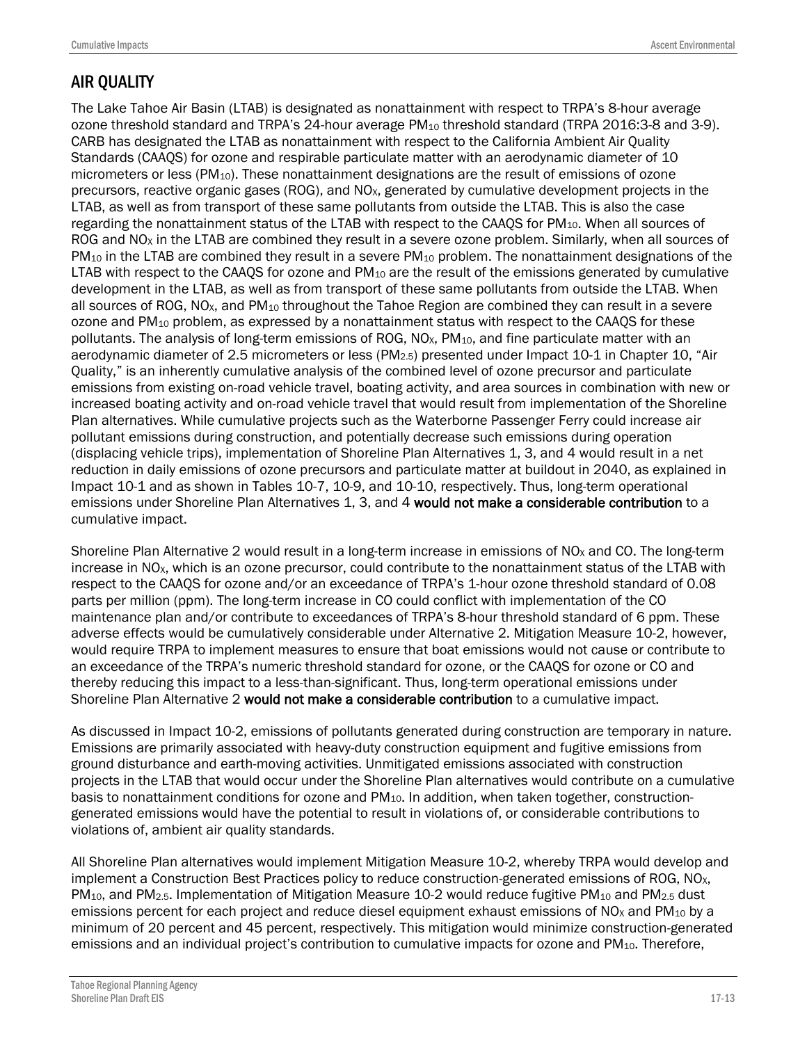### AIR QUALITY

The Lake Tahoe Air Basin (LTAB) is designated as nonattainment with respect to TRPA's 8-hour average ozone threshold standard and TRPA's 24-hour average PM<sub>10</sub> threshold standard (TRPA 2016:3-8 and 3-9). CARB has designated the LTAB as nonattainment with respect to the California Ambient Air Quality Standards (CAAQS) for ozone and respirable particulate matter with an aerodynamic diameter of 10 micrometers or less  $(PM_{10})$ . These nonattainment designations are the result of emissions of ozone precursors, reactive organic gases (ROG), and NOX, generated by cumulative development projects in the LTAB, as well as from transport of these same pollutants from outside the LTAB. This is also the case regarding the nonattainment status of the LTAB with respect to the CAAQS for  $PM<sub>10</sub>$ . When all sources of ROG and NO<sub>x</sub> in the LTAB are combined they result in a severe ozone problem. Similarly, when all sources of  $PM_{10}$  in the LTAB are combined they result in a severe  $PM_{10}$  problem. The nonattainment designations of the LTAB with respect to the CAAQS for ozone and  $PM_{10}$  are the result of the emissions generated by cumulative development in the LTAB, as well as from transport of these same pollutants from outside the LTAB. When all sources of ROG, NO<sub>x</sub>, and PM<sub>10</sub> throughout the Tahoe Region are combined they can result in a severe ozone and  $PM_{10}$  problem, as expressed by a nonattainment status with respect to the CAAQS for these pollutants. The analysis of long-term emissions of ROG,  $NO<sub>x</sub>$ , PM<sub>10</sub>, and fine particulate matter with an aerodynamic diameter of 2.5 micrometers or less (PM<sub>2.5</sub>) presented under Impact 10-1 in Chapter 10, "Air Quality," is an inherently cumulative analysis of the combined level of ozone precursor and particulate emissions from existing on-road vehicle travel, boating activity, and area sources in combination with new or increased boating activity and on-road vehicle travel that would result from implementation of the Shoreline Plan alternatives. While cumulative projects such as the Waterborne Passenger Ferry could increase air pollutant emissions during construction, and potentially decrease such emissions during operation (displacing vehicle trips), implementation of Shoreline Plan Alternatives 1, 3, and 4 would result in a net reduction in daily emissions of ozone precursors and particulate matter at buildout in 2040, as explained in Impact 10-1 and as shown in Tables 10-7, 10-9, and 10-10, respectively. Thus, long-term operational emissions under Shoreline Plan Alternatives 1, 3, and 4 would not make a considerable contribution to a cumulative impact.

Shoreline Plan Alternative 2 would result in a long-term increase in emissions of NO<sub>x</sub> and CO. The long-term increase in NO<sub>x</sub>, which is an ozone precursor, could contribute to the nonattainment status of the LTAB with respect to the CAAQS for ozone and/or an exceedance of TRPA's 1-hour ozone threshold standard of 0.08 parts per million (ppm). The long-term increase in CO could conflict with implementation of the CO maintenance plan and/or contribute to exceedances of TRPA's 8-hour threshold standard of 6 ppm. These adverse effects would be cumulatively considerable under Alternative 2. Mitigation Measure 10-2, however, would require TRPA to implement measures to ensure that boat emissions would not cause or contribute to an exceedance of the TRPA's numeric threshold standard for ozone, or the CAAQS for ozone or CO and thereby reducing this impact to a less-than-significant. Thus, long-term operational emissions under Shoreline Plan Alternative 2 would not make a considerable contribution to a cumulative impact.

As discussed in Impact 10-2, emissions of pollutants generated during construction are temporary in nature. Emissions are primarily associated with heavy-duty construction equipment and fugitive emissions from ground disturbance and earth-moving activities. Unmitigated emissions associated with construction projects in the LTAB that would occur under the Shoreline Plan alternatives would contribute on a cumulative basis to nonattainment conditions for ozone and PM<sub>10</sub>. In addition, when taken together, constructiongenerated emissions would have the potential to result in violations of, or considerable contributions to violations of, ambient air quality standards.

All Shoreline Plan alternatives would implement Mitigation Measure 10-2, whereby TRPA would develop and implement a Construction Best Practices policy to reduce construction-generated emissions of ROG, NO<sub>x</sub>, PM<sub>10</sub>, and PM<sub>2.5</sub>. Implementation of Mitigation Measure 10-2 would reduce fugitive PM<sub>10</sub> and PM<sub>2.5</sub> dust emissions percent for each project and reduce diesel equipment exhaust emissions of NO<sub>x</sub> and PM<sub>10</sub> by a minimum of 20 percent and 45 percent, respectively. This mitigation would minimize construction-generated emissions and an individual project's contribution to cumulative impacts for ozone and PM<sub>10</sub>. Therefore,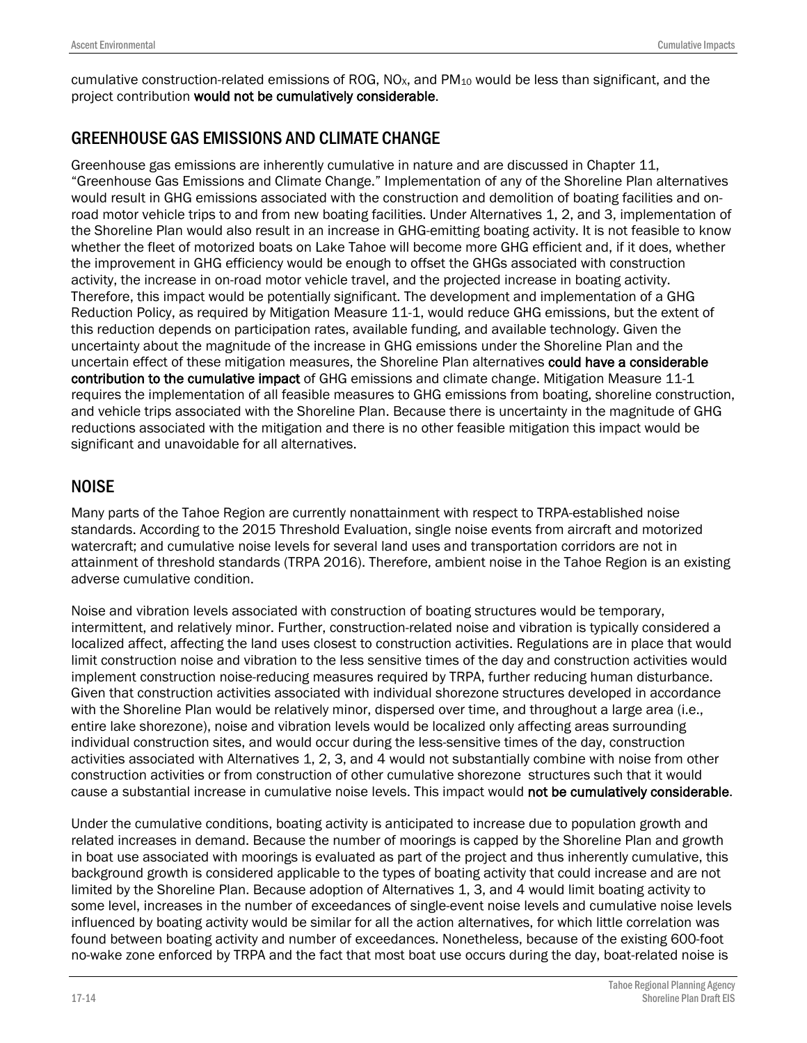cumulative construction-related emissions of ROG,  $NO<sub>X</sub>$ , and PM<sub>10</sub> would be less than significant, and the project contribution would not be cumulatively considerable.

### GREENHOUSE GAS EMISSIONS AND CLIMATE CHANGE

Greenhouse gas emissions are inherently cumulative in nature and are discussed in Chapter 11, "Greenhouse Gas Emissions and Climate Change." Implementation of any of the Shoreline Plan alternatives would result in GHG emissions associated with the construction and demolition of boating facilities and onroad motor vehicle trips to and from new boating facilities. Under Alternatives 1, 2, and 3, implementation of the Shoreline Plan would also result in an increase in GHG-emitting boating activity. It is not feasible to know whether the fleet of motorized boats on Lake Tahoe will become more GHG efficient and, if it does, whether the improvement in GHG efficiency would be enough to offset the GHGs associated with construction activity, the increase in on-road motor vehicle travel, and the projected increase in boating activity. Therefore, this impact would be potentially significant. The development and implementation of a GHG Reduction Policy, as required by Mitigation Measure 11-1, would reduce GHG emissions, but the extent of this reduction depends on participation rates, available funding, and available technology. Given the uncertainty about the magnitude of the increase in GHG emissions under the Shoreline Plan and the uncertain effect of these mitigation measures, the Shoreline Plan alternatives could have a considerable contribution to the cumulative impact of GHG emissions and climate change. Mitigation Measure 11-1 requires the implementation of all feasible measures to GHG emissions from boating, shoreline construction, and vehicle trips associated with the Shoreline Plan. Because there is uncertainty in the magnitude of GHG reductions associated with the mitigation and there is no other feasible mitigation this impact would be significant and unavoidable for all alternatives.

### NOISE

Many parts of the Tahoe Region are currently nonattainment with respect to TRPA-established noise standards. According to the 2015 Threshold Evaluation, single noise events from aircraft and motorized watercraft; and cumulative noise levels for several land uses and transportation corridors are not in attainment of threshold standards (TRPA 2016). Therefore, ambient noise in the Tahoe Region is an existing adverse cumulative condition.

Noise and vibration levels associated with construction of boating structures would be temporary, intermittent, and relatively minor. Further, construction-related noise and vibration is typically considered a localized affect, affecting the land uses closest to construction activities. Regulations are in place that would limit construction noise and vibration to the less sensitive times of the day and construction activities would implement construction noise-reducing measures required by TRPA, further reducing human disturbance. Given that construction activities associated with individual shorezone structures developed in accordance with the Shoreline Plan would be relatively minor, dispersed over time, and throughout a large area (i.e., entire lake shorezone), noise and vibration levels would be localized only affecting areas surrounding individual construction sites, and would occur during the less-sensitive times of the day, construction activities associated with Alternatives 1, 2, 3, and 4 would not substantially combine with noise from other construction activities or from construction of other cumulative shorezone structures such that it would cause a substantial increase in cumulative noise levels. This impact would not be cumulatively considerable.

Under the cumulative conditions, boating activity is anticipated to increase due to population growth and related increases in demand. Because the number of moorings is capped by the Shoreline Plan and growth in boat use associated with moorings is evaluated as part of the project and thus inherently cumulative, this background growth is considered applicable to the types of boating activity that could increase and are not limited by the Shoreline Plan. Because adoption of Alternatives 1, 3, and 4 would limit boating activity to some level, increases in the number of exceedances of single-event noise levels and cumulative noise levels influenced by boating activity would be similar for all the action alternatives, for which little correlation was found between boating activity and number of exceedances. Nonetheless, because of the existing 600-foot no-wake zone enforced by TRPA and the fact that most boat use occurs during the day, boat-related noise is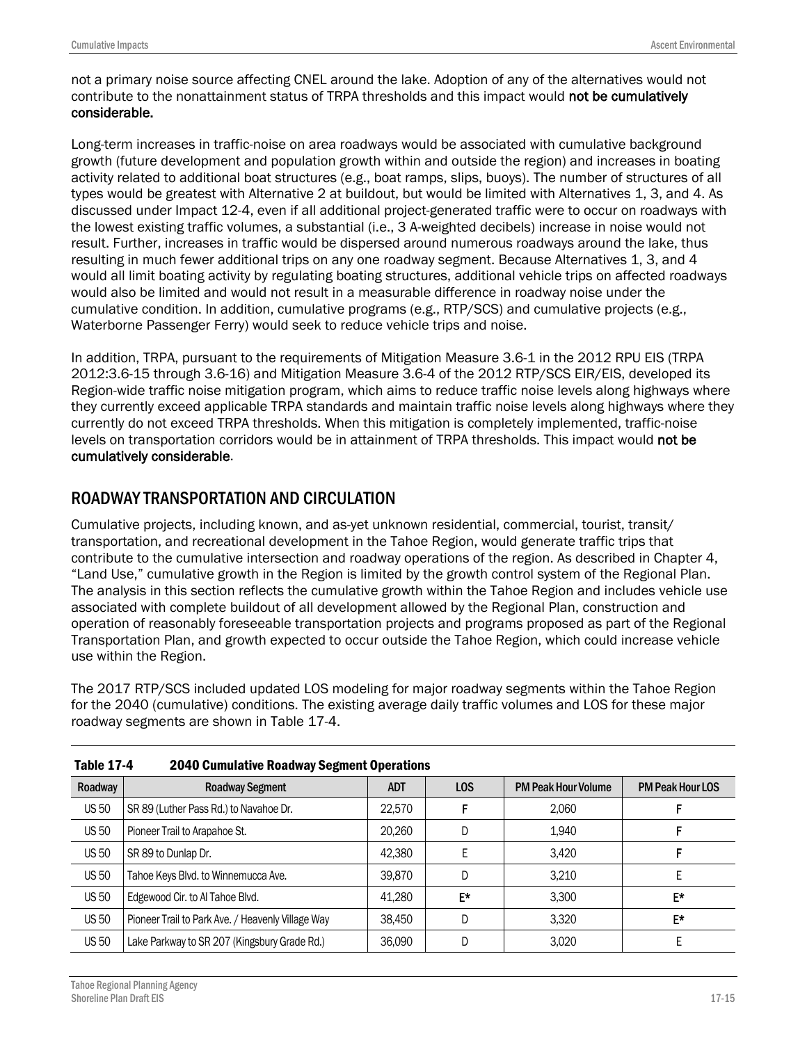not a primary noise source affecting CNEL around the lake. Adoption of any of the alternatives would not contribute to the nonattainment status of TRPA thresholds and this impact would not be cumulatively considerable.

Long-term increases in traffic-noise on area roadways would be associated with cumulative background growth (future development and population growth within and outside the region) and increases in boating activity related to additional boat structures (e.g., boat ramps, slips, buoys). The number of structures of all types would be greatest with Alternative 2 at buildout, but would be limited with Alternatives 1, 3, and 4. As discussed under Impact 12-4, even if all additional project-generated traffic were to occur on roadways with the lowest existing traffic volumes, a substantial (i.e., 3 A-weighted decibels) increase in noise would not result. Further, increases in traffic would be dispersed around numerous roadways around the lake, thus resulting in much fewer additional trips on any one roadway segment. Because Alternatives 1, 3, and 4 would all limit boating activity by regulating boating structures, additional vehicle trips on affected roadways would also be limited and would not result in a measurable difference in roadway noise under the cumulative condition. In addition, cumulative programs (e.g., RTP/SCS) and cumulative projects (e.g., Waterborne Passenger Ferry) would seek to reduce vehicle trips and noise.

In addition, TRPA, pursuant to the requirements of Mitigation Measure 3.6-1 in the 2012 RPU EIS (TRPA 2012:3.6-15 through 3.6-16) and Mitigation Measure 3.6-4 of the 2012 RTP/SCS EIR/EIS, developed its Region-wide traffic noise mitigation program, which aims to reduce traffic noise levels along highways where they currently exceed applicable TRPA standards and maintain traffic noise levels along highways where they currently do not exceed TRPA thresholds. When this mitigation is completely implemented, traffic-noise levels on transportation corridors would be in attainment of TRPA thresholds. This impact would not be cumulatively considerable.

### ROADWAY TRANSPORTATION AND CIRCULATION

Cumulative projects, including known, and as-yet unknown residential, commercial, tourist, transit/ transportation, and recreational development in the Tahoe Region, would generate traffic trips that contribute to the cumulative intersection and roadway operations of the region. As described in Chapter 4, "Land Use," cumulative growth in the Region is limited by the growth control system of the Regional Plan. The analysis in this section reflects the cumulative growth within the Tahoe Region and includes vehicle use associated with complete buildout of all development allowed by the Regional Plan, construction and operation of reasonably foreseeable transportation projects and programs proposed as part of the Regional Transportation Plan, and growth expected to occur outside the Tahoe Region, which could increase vehicle use within the Region.

The 2017 RTP/SCS included updated LOS modeling for major roadway segments within the Tahoe Region for the 2040 (cumulative) conditions. The existing average daily traffic volumes and LOS for these major roadway segments are shown in Table 17-4.

|              | Table 17-4<br><b>2040 Cumulative Roadway Segment Operations</b> |            |     |                            |                         |  |
|--------------|-----------------------------------------------------------------|------------|-----|----------------------------|-------------------------|--|
| Roadway      | <b>Roadway Segment</b>                                          | <b>ADT</b> | LOS | <b>PM Peak Hour Volume</b> | <b>PM Peak Hour LOS</b> |  |
| <b>US 50</b> | SR 89 (Luther Pass Rd.) to Navahoe Dr.                          | 22,570     |     | 2.060                      |                         |  |
| <b>US 50</b> | Pioneer Trail to Arapahoe St.                                   | 20,260     | D   | 1.940                      |                         |  |
| <b>US 50</b> | SR 89 to Dunlap Dr.                                             | 42,380     |     | 3.420                      |                         |  |
| <b>US 50</b> | Tahoe Keys Blvd. to Winnemucca Ave.                             | 39,870     | D   | 3.210                      |                         |  |
| <b>US 50</b> | Edgewood Cir. to Al Tahoe Blvd.                                 | 41.280     | E*  | 3.300                      | E*                      |  |
| <b>US 50</b> | Pioneer Trail to Park Ave. / Heavenly Village Way               | 38.450     | D   | 3.320                      | E*                      |  |
| <b>US 50</b> | Lake Parkway to SR 207 (Kingsbury Grade Rd.)                    | 36,090     | D   | 3.020                      |                         |  |

| Table 17-4 | <b>2040 Cumulative Roadway Segment Operations</b> |
|------------|---------------------------------------------------|
|------------|---------------------------------------------------|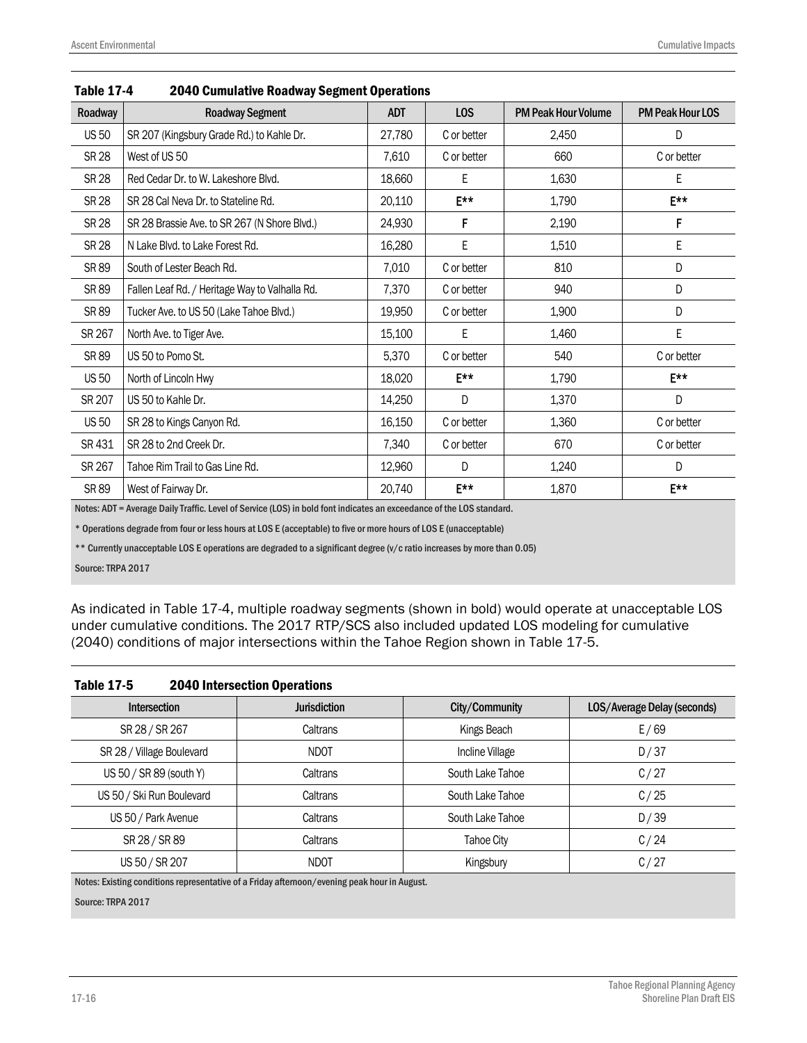| Roadway      | <b>Roadway Segment</b>                         | <b>ADT</b> | LOS              | <b>PM Peak Hour Volume</b> | <b>PM Peak Hour LOS</b> |
|--------------|------------------------------------------------|------------|------------------|----------------------------|-------------------------|
| <b>US 50</b> | SR 207 (Kingsbury Grade Rd.) to Kahle Dr.      | 27,780     | C or better      | 2,450                      | D                       |
| <b>SR 28</b> | West of US 50                                  | 7,610      | C or better      | 660                        | C or better             |
| <b>SR 28</b> | Red Cedar Dr. to W. Lakeshore Blvd.            | 18,660     | Е                | 1,630                      | Е                       |
| SR 28        | SR 28 Cal Neva Dr. to Stateline Rd.            | 20,110     | $E***$           | 1,790                      | E**                     |
| <b>SR 28</b> | SR 28 Brassie Ave. to SR 267 (N Shore Blvd.)   | 24,930     | F                | 2,190                      | F                       |
| <b>SR 28</b> | N Lake Blvd, to Lake Forest Rd.                | 16,280     | E                | 1,510                      | E                       |
| SR 89        | South of Lester Beach Rd.                      | 7,010      | C or better      | 810                        | D                       |
| SR 89        | Fallen Leaf Rd. / Heritage Way to Valhalla Rd. | 7,370      | C or better      | 940                        | D                       |
| SR 89        | Tucker Ave. to US 50 (Lake Tahoe Blvd.)        | 19,950     | C or better      | 1,900                      | D                       |
| SR 267       | North Ave. to Tiger Ave.                       | 15,100     | E                | 1,460                      | E                       |
| SR 89        | US 50 to Pomo St.                              | 5,370      | C or better      | 540                        | C or better             |
| <b>US 50</b> | North of Lincoln Hwy                           | 18,020     | F**              | 1,790                      | F**                     |
| SR 207       | US 50 to Kahle Dr.                             | 14,250     | D                | 1,370                      | D                       |
| <b>US 50</b> | SR 28 to Kings Canyon Rd.                      | 16,150     | C or better      | 1,360                      | C or better             |
| SR 431       | SR 28 to 2nd Creek Dr.                         | 7,340      | C or better      | 670                        | C or better             |
| SR 267       | Tahoe Rim Trail to Gas Line Rd.                | 12,960     | D                | 1,240                      | D                       |
| SR 89        | West of Fairway Dr.                            | 20,740     | $E^{\star\star}$ | 1,870                      | $F^{\star\star}$        |

#### Table 17-4 2040 Cumulative Roadway Segment Operations

Notes: ADT = Average Daily Traffic. Level of Service (LOS) in bold font indicates an exceedance of the LOS standard.

\* Operations degrade from four or less hours at LOS E (acceptable) to five or more hours of LOS E (unacceptable)

\*\* Currently unacceptable LOS E operations are degraded to a significant degree (v/c ratio increases by more than 0.05)

Source: TRPA 2017

As indicated in Table 17-4, multiple roadway segments (shown in bold) would operate at unacceptable LOS under cumulative conditions. The 2017 RTP/SCS also included updated LOS modeling for cumulative (2040) conditions of major intersections within the Tahoe Region shown in Table 17-5.

| <b>Table 17-5</b> | <b>2040 Intersection Operations</b> |
|-------------------|-------------------------------------|
|-------------------|-------------------------------------|

| Intersection              | <b>Jurisdiction</b> | City/Community    | LOS/Average Delay (seconds) |
|---------------------------|---------------------|-------------------|-----------------------------|
| SR 28 / SR 267            | Caltrans            | Kings Beach       | E/69                        |
| SR 28 / Village Boulevard | <b>NDOT</b>         | Incline Village   | D/37                        |
| US 50 / SR 89 (south Y)   | Caltrans            | South Lake Tahoe  | C/27                        |
| US 50 / Ski Run Boulevard | Caltrans            | South Lake Tahoe  | C/25                        |
| US 50 / Park Avenue       | Caltrans            | South Lake Tahoe  | D/39                        |
| SR 28 / SR 89             | Caltrans            | <b>Tahoe City</b> | C/24                        |
| US 50 / SR 207            | <b>NDOT</b>         | Kingsbury         | C/27                        |

Notes: Existing conditions representative of a Friday afternoon/evening peak hour in August.

Source: TRPA 2017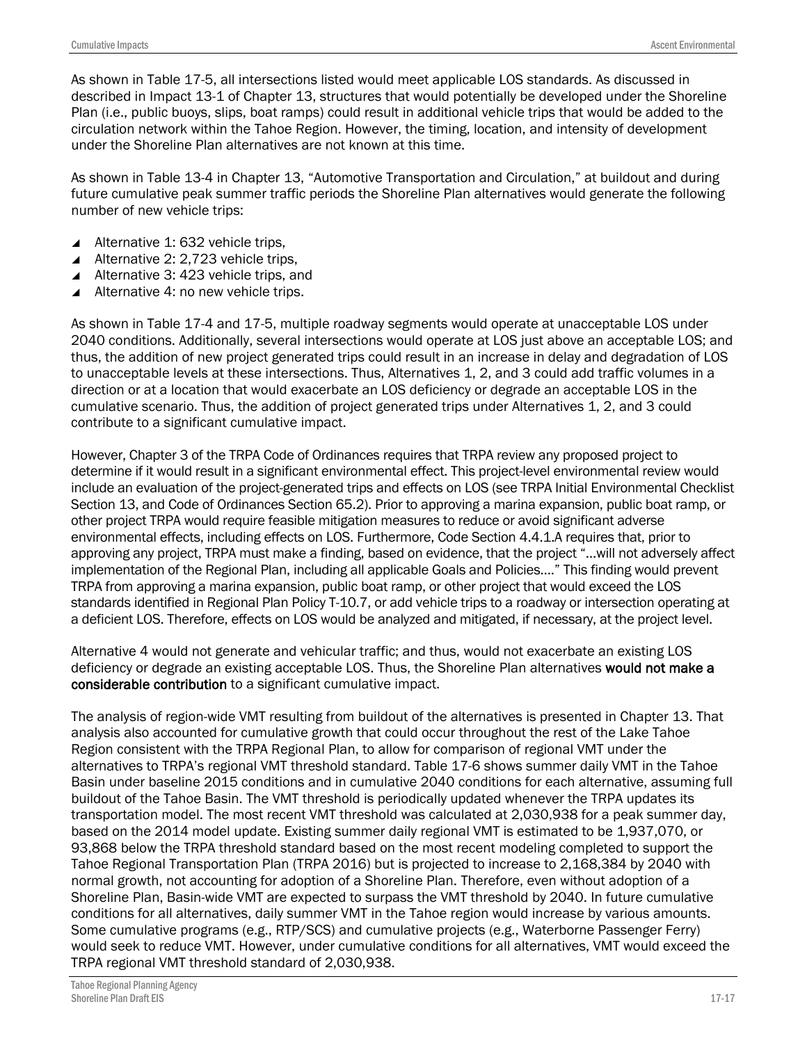As shown in Table 17-5, all intersections listed would meet applicable LOS standards. As discussed in described in Impact 13-1 of Chapter 13, structures that would potentially be developed under the Shoreline Plan (i.e., public buoys, slips, boat ramps) could result in additional vehicle trips that would be added to the circulation network within the Tahoe Region. However, the timing, location, and intensity of development under the Shoreline Plan alternatives are not known at this time.

As shown in Table 13-4 in Chapter 13, "Automotive Transportation and Circulation," at buildout and during future cumulative peak summer traffic periods the Shoreline Plan alternatives would generate the following number of new vehicle trips:

- Alternative 1: 632 vehicle trips,
- Alternative 2: 2,723 vehicle trips,
- ▲ Alternative 3: 423 vehicle trips, and
- Alternative 4: no new vehicle trips.

As shown in Table 17-4 and 17-5, multiple roadway segments would operate at unacceptable LOS under 2040 conditions. Additionally, several intersections would operate at LOS just above an acceptable LOS; and thus, the addition of new project generated trips could result in an increase in delay and degradation of LOS to unacceptable levels at these intersections. Thus, Alternatives 1, 2, and 3 could add traffic volumes in a direction or at a location that would exacerbate an LOS deficiency or degrade an acceptable LOS in the cumulative scenario. Thus, the addition of project generated trips under Alternatives 1, 2, and 3 could contribute to a significant cumulative impact.

However, Chapter 3 of the TRPA Code of Ordinances requires that TRPA review any proposed project to determine if it would result in a significant environmental effect. This project-level environmental review would include an evaluation of the project-generated trips and effects on LOS (see TRPA Initial Environmental Checklist Section 13, and Code of Ordinances Section 65.2). Prior to approving a marina expansion, public boat ramp, or other project TRPA would require feasible mitigation measures to reduce or avoid significant adverse environmental effects, including effects on LOS. Furthermore, Code Section 4.4.1.A requires that, prior to approving any project, TRPA must make a finding, based on evidence, that the project "…will not adversely affect implementation of the Regional Plan, including all applicable Goals and Policies…." This finding would prevent TRPA from approving a marina expansion, public boat ramp, or other project that would exceed the LOS standards identified in Regional Plan Policy T-10.7, or add vehicle trips to a roadway or intersection operating at a deficient LOS. Therefore, effects on LOS would be analyzed and mitigated, if necessary, at the project level.

Alternative 4 would not generate and vehicular traffic; and thus, would not exacerbate an existing LOS deficiency or degrade an existing acceptable LOS. Thus, the Shoreline Plan alternatives would not make a considerable contribution to a significant cumulative impact.

The analysis of region-wide VMT resulting from buildout of the alternatives is presented in Chapter 13. That analysis also accounted for cumulative growth that could occur throughout the rest of the Lake Tahoe Region consistent with the TRPA Regional Plan, to allow for comparison of regional VMT under the alternatives to TRPA's regional VMT threshold standard. Table 17-6 shows summer daily VMT in the Tahoe Basin under baseline 2015 conditions and in cumulative 2040 conditions for each alternative, assuming full buildout of the Tahoe Basin. The VMT threshold is periodically updated whenever the TRPA updates its transportation model. The most recent VMT threshold was calculated at 2,030,938 for a peak summer day, based on the 2014 model update. Existing summer daily regional VMT is estimated to be 1,937,070, or 93,868 below the TRPA threshold standard based on the most recent modeling completed to support the Tahoe Regional Transportation Plan (TRPA 2016) but is projected to increase to 2,168,384 by 2040 with normal growth, not accounting for adoption of a Shoreline Plan. Therefore, even without adoption of a Shoreline Plan, Basin-wide VMT are expected to surpass the VMT threshold by 2040. In future cumulative conditions for all alternatives, daily summer VMT in the Tahoe region would increase by various amounts. Some cumulative programs (e.g., RTP/SCS) and cumulative projects (e.g., Waterborne Passenger Ferry) would seek to reduce VMT. However, under cumulative conditions for all alternatives, VMT would exceed the TRPA regional VMT threshold standard of 2,030,938.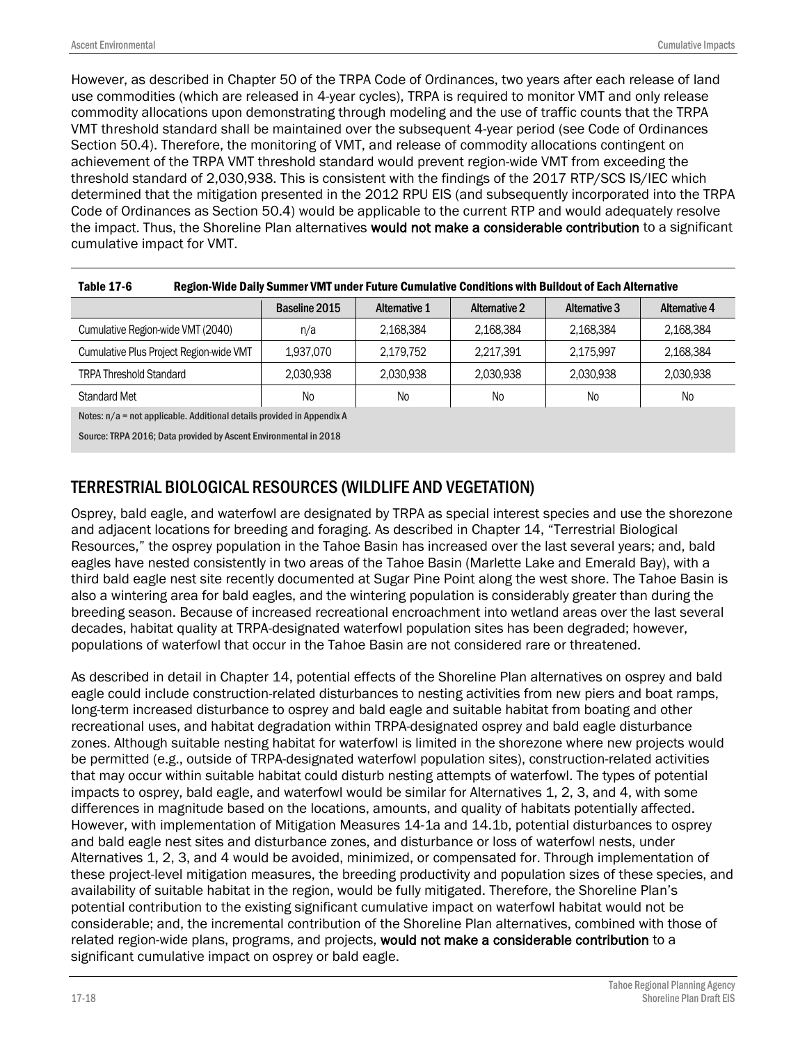However, as described in Chapter 50 of the TRPA Code of Ordinances, two years after each release of land use commodities (which are released in 4-year cycles), TRPA is required to monitor VMT and only release commodity allocations upon demonstrating through modeling and the use of traffic counts that the TRPA VMT threshold standard shall be maintained over the subsequent 4-year period (see Code of Ordinances Section 50.4). Therefore, the monitoring of VMT, and release of commodity allocations contingent on achievement of the TRPA VMT threshold standard would prevent region-wide VMT from exceeding the threshold standard of 2,030,938. This is consistent with the findings of the 2017 RTP/SCS IS/IEC which determined that the mitigation presented in the 2012 RPU EIS (and subsequently incorporated into the TRPA Code of Ordinances as Section 50.4) would be applicable to the current RTP and would adequately resolve the impact. Thus, the Shoreline Plan alternatives would not make a considerable contribution to a significant cumulative impact for VMT.

| TUDIU 11-V<br>RUSION-THING DANY JUMINIGI THIT UNUGLI UGUG VUMUNGUTG VONUKIONS MIGH DUNUOUL OF EAGH ARGHIGHTG |               |                      |                      |               |                |
|--------------------------------------------------------------------------------------------------------------|---------------|----------------------|----------------------|---------------|----------------|
|                                                                                                              | Baseline 2015 | <b>Alternative 1</b> | <b>Alternative 2</b> | Alternative 3 | Alternative 4  |
| Cumulative Region-wide VMT (2040)                                                                            | n/a           | 2,168,384            | 2,168,384            | 2,168,384     | 2,168,384      |
| Cumulative Plus Project Region-wide VMT                                                                      | 1.937.070     | 2.179.752            | 2,217,391            | 2.175.997     | 2,168,384      |
| <b>TRPA Threshold Standard</b>                                                                               | 2,030,938     | 2.030.938            | 2,030,938            | 2,030,938     | 2,030,938      |
| <b>Standard Met</b>                                                                                          | <b>No</b>     | N <sub>0</sub>       | No                   | <b>No</b>     | N <sub>0</sub> |

| Table 17-6 | Region-Wide Daily Summer VMT under Future Cumulative Conditions with Buildout of Each Alternative |
|------------|---------------------------------------------------------------------------------------------------|
|------------|---------------------------------------------------------------------------------------------------|

Notes: n/a = not applicable. Additional details provided in Appendix A

Source: TRPA 2016; Data provided by Ascent Environmental in 2018

### TERRESTRIAL BIOLOGICAL RESOURCES (WILDLIFE AND VEGETATION)

Osprey, bald eagle, and waterfowl are designated by TRPA as special interest species and use the shorezone and adjacent locations for breeding and foraging. As described in Chapter 14, "Terrestrial Biological Resources," the osprey population in the Tahoe Basin has increased over the last several years; and, bald eagles have nested consistently in two areas of the Tahoe Basin (Marlette Lake and Emerald Bay), with a third bald eagle nest site recently documented at Sugar Pine Point along the west shore. The Tahoe Basin is also a wintering area for bald eagles, and the wintering population is considerably greater than during the breeding season. Because of increased recreational encroachment into wetland areas over the last several decades, habitat quality at TRPA-designated waterfowl population sites has been degraded; however, populations of waterfowl that occur in the Tahoe Basin are not considered rare or threatened.

As described in detail in Chapter 14, potential effects of the Shoreline Plan alternatives on osprey and bald eagle could include construction-related disturbances to nesting activities from new piers and boat ramps, long-term increased disturbance to osprey and bald eagle and suitable habitat from boating and other recreational uses, and habitat degradation within TRPA-designated osprey and bald eagle disturbance zones. Although suitable nesting habitat for waterfowl is limited in the shorezone where new projects would be permitted (e.g., outside of TRPA-designated waterfowl population sites), construction-related activities that may occur within suitable habitat could disturb nesting attempts of waterfowl. The types of potential impacts to osprey, bald eagle, and waterfowl would be similar for Alternatives 1, 2, 3, and 4, with some differences in magnitude based on the locations, amounts, and quality of habitats potentially affected. However, with implementation of Mitigation Measures 14-1a and 14.1b, potential disturbances to osprey and bald eagle nest sites and disturbance zones, and disturbance or loss of waterfowl nests, under Alternatives 1, 2, 3, and 4 would be avoided, minimized, or compensated for. Through implementation of these project-level mitigation measures, the breeding productivity and population sizes of these species, and availability of suitable habitat in the region, would be fully mitigated. Therefore, the Shoreline Plan's potential contribution to the existing significant cumulative impact on waterfowl habitat would not be considerable; and, the incremental contribution of the Shoreline Plan alternatives, combined with those of related region-wide plans, programs, and projects, would not make a considerable contribution to a significant cumulative impact on osprey or bald eagle.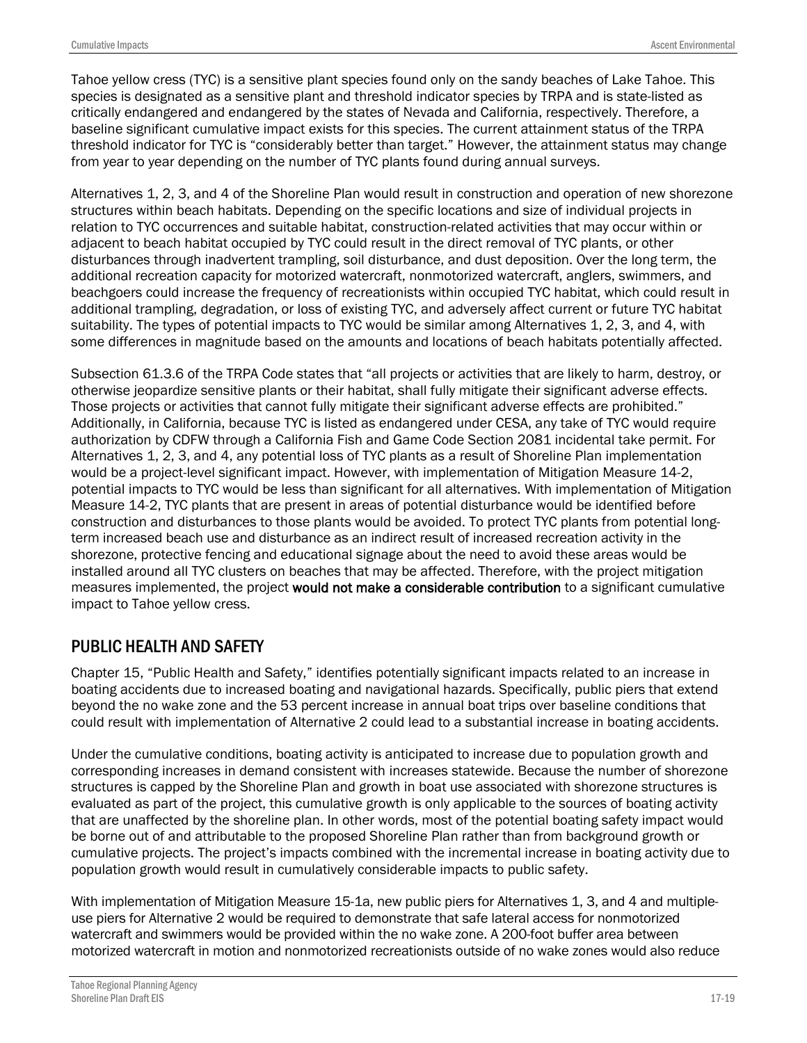Tahoe yellow cress (TYC) is a sensitive plant species found only on the sandy beaches of Lake Tahoe. This species is designated as a sensitive plant and threshold indicator species by TRPA and is state-listed as critically endangered and endangered by the states of Nevada and California, respectively. Therefore, a baseline significant cumulative impact exists for this species. The current attainment status of the TRPA threshold indicator for TYC is "considerably better than target." However, the attainment status may change from year to year depending on the number of TYC plants found during annual surveys.

Alternatives 1, 2, 3, and 4 of the Shoreline Plan would result in construction and operation of new shorezone structures within beach habitats. Depending on the specific locations and size of individual projects in relation to TYC occurrences and suitable habitat, construction-related activities that may occur within or adjacent to beach habitat occupied by TYC could result in the direct removal of TYC plants, or other disturbances through inadvertent trampling, soil disturbance, and dust deposition. Over the long term, the additional recreation capacity for motorized watercraft, nonmotorized watercraft, anglers, swimmers, and beachgoers could increase the frequency of recreationists within occupied TYC habitat, which could result in additional trampling, degradation, or loss of existing TYC, and adversely affect current or future TYC habitat suitability. The types of potential impacts to TYC would be similar among Alternatives 1, 2, 3, and 4, with some differences in magnitude based on the amounts and locations of beach habitats potentially affected.

Subsection 61.3.6 of the TRPA Code states that "all projects or activities that are likely to harm, destroy, or otherwise jeopardize sensitive plants or their habitat, shall fully mitigate their significant adverse effects. Those projects or activities that cannot fully mitigate their significant adverse effects are prohibited." Additionally, in California, because TYC is listed as endangered under CESA, any take of TYC would require authorization by CDFW through a California Fish and Game Code Section 2081 incidental take permit. For Alternatives 1, 2, 3, and 4, any potential loss of TYC plants as a result of Shoreline Plan implementation would be a project-level significant impact. However, with implementation of Mitigation Measure 14-2, potential impacts to TYC would be less than significant for all alternatives. With implementation of Mitigation Measure 14-2, TYC plants that are present in areas of potential disturbance would be identified before construction and disturbances to those plants would be avoided. To protect TYC plants from potential longterm increased beach use and disturbance as an indirect result of increased recreation activity in the shorezone, protective fencing and educational signage about the need to avoid these areas would be installed around all TYC clusters on beaches that may be affected. Therefore, with the project mitigation measures implemented, the project would not make a considerable contribution to a significant cumulative impact to Tahoe yellow cress.

### PUBLIC HEALTH AND SAFETY

Chapter 15, "Public Health and Safety," identifies potentially significant impacts related to an increase in boating accidents due to increased boating and navigational hazards. Specifically, public piers that extend beyond the no wake zone and the 53 percent increase in annual boat trips over baseline conditions that could result with implementation of Alternative 2 could lead to a substantial increase in boating accidents.

Under the cumulative conditions, boating activity is anticipated to increase due to population growth and corresponding increases in demand consistent with increases statewide. Because the number of shorezone structures is capped by the Shoreline Plan and growth in boat use associated with shorezone structures is evaluated as part of the project, this cumulative growth is only applicable to the sources of boating activity that are unaffected by the shoreline plan. In other words, most of the potential boating safety impact would be borne out of and attributable to the proposed Shoreline Plan rather than from background growth or cumulative projects. The project's impacts combined with the incremental increase in boating activity due to population growth would result in cumulatively considerable impacts to public safety.

With implementation of Mitigation Measure 15-1a, new public piers for Alternatives 1, 3, and 4 and multipleuse piers for Alternative 2 would be required to demonstrate that safe lateral access for nonmotorized watercraft and swimmers would be provided within the no wake zone. A 200-foot buffer area between motorized watercraft in motion and nonmotorized recreationists outside of no wake zones would also reduce